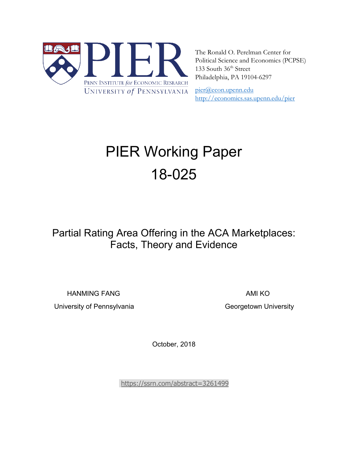

The Ronald O. Perelman Center for Political Science and Economics (PCPSE) 133 South 36<sup>th</sup> Street Philadelphia, PA 19104-6297

[pier@econ.upenn.edu](mailto:pier@econ.upenn.edu)  <http://economics.sas.upenn.edu/pier>

# PIER Working Paper 18-025

# Partial Rating Area Offering in the ACA Marketplaces: Facts, Theory and Evidence

HANMING FANG AMI KO

University of Pennsylvania Christian Controllery Ceorgetown University

October, 2018

<https://ssrn.com/abstract=3261499>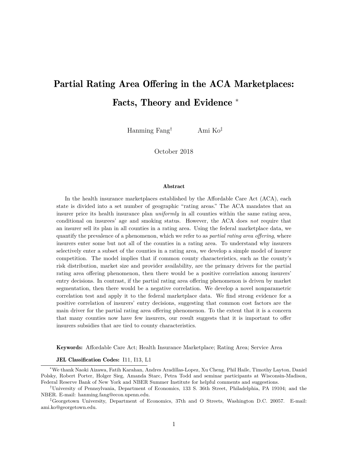# Partial Rating Area Offering in the ACA Marketplaces: Facts, Theory and Evidence <sup>∗</sup>

Hanming Fang† Ami Ko‡

October 2018

#### Abstract

In the health insurance marketplaces established by the Affordable Care Act (ACA), each state is divided into a set number of geographic "rating areas." The ACA mandates that an insurer price its health insurance plan *uniformly* in all counties within the same rating area, conditional on insurees' age and smoking status. However, the ACA does *not* require that an insurer sell its plan in all counties in a rating area. Using the federal marketplace data, we quantify the prevalence of a phenomenon, which we refer to as *partial rating area offering*, where insurers enter some but not all of the counties in a rating area. To understand why insurers selectively enter a subset of the counties in a rating area, we develop a simple model of insurer competition. The model implies that if common county characteristics, such as the county's risk distribution, market size and provider availability, are the primary drivers for the partial rating area offering phenomenon, then there would be a positive correlation among insurers' entry decisions. In contrast, if the partial rating area offering phenomenon is driven by market segmentation, then there would be a negative correlation. We develop a novel nonparametric correlation test and apply it to the federal marketplace data. We find strong evidence for a positive correlation of insurers' entry decisions, suggesting that common cost factors are the main driver for the partial rating area offering phenomenon. To the extent that it is a concern that many counties now have few insurers, our result suggests that it is important to offer insurers subsidies that are tied to county characteristics.

Keywords: Affordable Care Act; Health Insurance Marketplace; Rating Area; Service Area

#### JEL Classification Codes: I11, I13, L1

<sup>∗</sup>We thank Naoki Aizawa, Fatih Karahan, Andres Aradillas-Lopez, Xu Cheng, Phil Haile, Timothy Layton, Daniel Polsky, Robert Porter, Holger Sieg, Amanda Starc, Petra Todd and seminar participants at Wisconsin-Madison, Federal Reserve Bank of New York and NBER Summer Institute for helpful comments and suggestions.

†University of Pennsylvania, Department of Economics, 133 S. 36th Street, Philadelphia, PA 19104; and the NBER. E-mail: hanming.fang@econ.upenn.edu.

<sup>‡</sup>Georgetown University, Department of Economics, 37th and O Streets, Washington D.C. 20057. E-mail: ami.ko@georgetown.edu.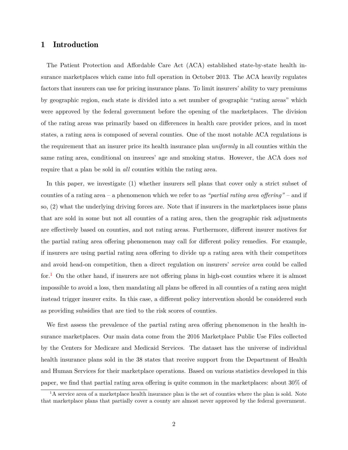# 1 Introduction

The Patient Protection and Affordable Care Act (ACA) established state-by-state health insurance marketplaces which came into full operation in October 2013. The ACA heavily regulates factors that insurers can use for pricing insurance plans. To limit insurers' ability to vary premiums by geographic region, each state is divided into a set number of geographic "rating areas" which were approved by the federal government before the opening of the marketplaces. The division of the rating areas was primarily based on differences in health care provider prices, and in most states, a rating area is composed of several counties. One of the most notable ACA regulations is the requirement that an insurer price its health insurance plan *uniformly* in all counties within the same rating area, conditional on insurees' age and smoking status. However, the ACA does *not* require that a plan be sold in *all* counties within the rating area.

In this paper, we investigate (1) whether insurers sell plans that cover only a strict subset of counties of a rating area – a phenomenon which we refer to as *"partial rating area offering"* – and if so, (2) what the underlying driving forces are. Note that if insurers in the marketplaces issue plans that are sold in some but not all counties of a rating area, then the geographic risk adjustments are effectively based on counties, and not rating areas. Furthermore, different insurer motives for the partial rating area offering phenomenon may call for different policy remedies. For example, if insurers are using partial rating area offering to divide up a rating area with their competitors and avoid head-on competition, then a direct regulation on insurers' *service area* could be called for.<sup>[1](#page-2-0)</sup> On the other hand, if insurers are not offering plans in high-cost counties where it is almost impossible to avoid a loss, then mandating all plans be offered in all counties of a rating area might instead trigger insurer exits. In this case, a different policy intervention should be considered such as providing subsidies that are tied to the risk scores of counties.

We first assess the prevalence of the partial rating area offering phenomenon in the health insurance marketplaces. Our main data come from the 2016 Marketplace Public Use Files collected by the Centers for Medicare and Medicaid Services. The dataset has the universe of individual health insurance plans sold in the 38 states that receive support from the Department of Health and Human Services for their marketplace operations. Based on various statistics developed in this paper, we find that partial rating area offering is quite common in the marketplaces: about 30% of

<span id="page-2-0"></span><sup>&</sup>lt;sup>1</sup>A service area of a marketplace health insurance plan is the set of counties where the plan is sold. Note that marketplace plans that partially cover a county are almost never approved by the federal government.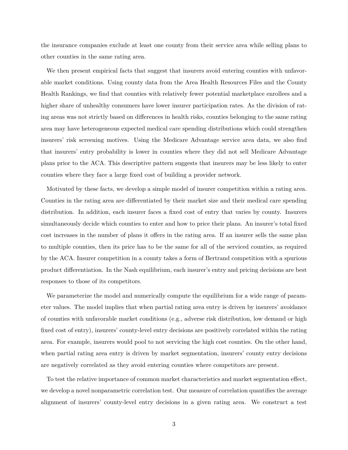the insurance companies exclude at least one county from their service area while selling plans to other counties in the same rating area.

We then present empirical facts that suggest that insurers avoid entering counties with unfavorable market conditions. Using county data from the Area Health Resources Files and the County Health Rankings, we find that counties with relatively fewer potential marketplace enrollees and a higher share of unhealthy consumers have lower insurer participation rates. As the division of rating areas was not strictly based on differences in health risks, counties belonging to the same rating area may have heterogeneous expected medical care spending distributions which could strengthen insurers' risk screening motives. Using the Medicare Advantage service area data, we also find that insurers' entry probability is lower in counties where they did not sell Medicare Advantage plans prior to the ACA. This descriptive pattern suggests that insurers may be less likely to enter counties where they face a large fixed cost of building a provider network.

Motivated by these facts, we develop a simple model of insurer competition within a rating area. Counties in the rating area are differentiated by their market size and their medical care spending distribution. In addition, each insurer faces a fixed cost of entry that varies by county. Insurers simultaneously decide which counties to enter and how to price their plans. An insurer's total fixed cost increases in the number of plans it offers in the rating area. If an insurer sells the same plan to multiple counties, then its price has to be the same for all of the serviced counties, as required by the ACA. Insurer competition in a county takes a form of Bertrand competition with a spurious product differentiation. In the Nash equilibrium, each insurer's entry and pricing decisions are best responses to those of its competitors.

We parameterize the model and numerically compute the equilibrium for a wide range of parameter values. The model implies that when partial rating area entry is driven by insurers' avoidance of counties with unfavorable market conditions (e.g., adverse risk distribution, low demand or high fixed cost of entry), insurers' county-level entry decisions are positively correlated within the rating area. For example, insurers would pool to not servicing the high cost counties. On the other hand, when partial rating area entry is driven by market segmentation, insurers' county entry decisions are negatively correlated as they avoid entering counties where competitors are present.

To test the relative importance of common market characteristics and market segmentation effect, we develop a novel nonparametric correlation test. Our measure of correlation quantifies the average alignment of insurers' county-level entry decisions in a given rating area. We construct a test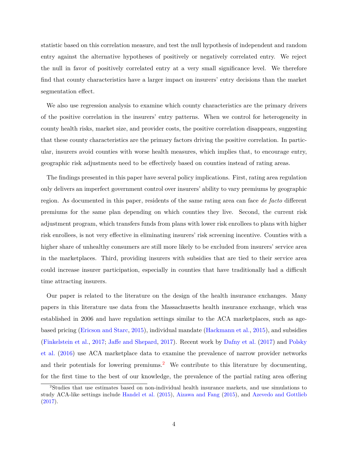statistic based on this correlation measure, and test the null hypothesis of independent and random entry against the alternative hypotheses of positively or negatively correlated entry. We reject the null in favor of positively correlated entry at a very small significance level. We therefore find that county characteristics have a larger impact on insurers' entry decisions than the market segmentation effect.

We also use regression analysis to examine which county characteristics are the primary drivers of the positive correlation in the insurers' entry patterns. When we control for heterogeneity in county health risks, market size, and provider costs, the positive correlation disappears, suggesting that these county characteristics are the primary factors driving the positive correlation. In particular, insurers avoid counties with worse health measures, which implies that, to encourage entry, geographic risk adjustments need to be effectively based on counties instead of rating areas.

The findings presented in this paper have several policy implications. First, rating area regulation only delivers an imperfect government control over insurers' ability to vary premiums by geographic region. As documented in this paper, residents of the same rating area can face *de facto* different premiums for the same plan depending on which counties they live. Second, the current risk adjustment program, which transfers funds from plans with lower risk enrollees to plans with higher risk enrollees, is not very effective in eliminating insurers' risk screening incentive. Counties with a higher share of unhealthy consumers are still more likely to be excluded from insurers' service area in the marketplaces. Third, providing insurers with subsidies that are tied to their service area could increase insurer participation, especially in counties that have traditionally had a difficult time attracting insurers.

Our paper is related to the literature on the design of the health insurance exchanges. Many papers in this literature use data from the Massachusetts health insurance exchange, which was established in 2006 and have regulation settings similar to the ACA marketplaces, such as agebased pricing [\(Ericson and Starc,](#page-34-0) [2015\)](#page-34-0), individual mandate [\(Hackmann et al.,](#page-34-1) [2015\)](#page-34-1), and subsidies [\(Finkelstein et al.,](#page-34-2) [2017;](#page-34-2) [Jaffe and Shepard,](#page-34-3) [2017\)](#page-34-3). Recent work by [Dafny et al.](#page-34-4) [\(2017\)](#page-34-4) and [Polsky](#page-34-5) [et al.](#page-34-5) [\(2016\)](#page-34-5) use ACA marketplace data to examine the prevalence of narrow provider networks and their potentials for lowering premiums.<sup>[2](#page-4-0)</sup> We contribute to this literature by documenting, for the first time to the best of our knowledge, the prevalence of the partial rating area offering

<span id="page-4-0"></span><sup>2</sup>Studies that use estimates based on non-individual health insurance markets, and use simulations to study ACA-like settings include [Handel et al.](#page-34-6) [\(2015\)](#page-34-6), [Aizawa and Fang](#page-33-0) [\(2015\)](#page-33-0), and [Azevedo and Gottlieb](#page-34-7) [\(2017\)](#page-34-7).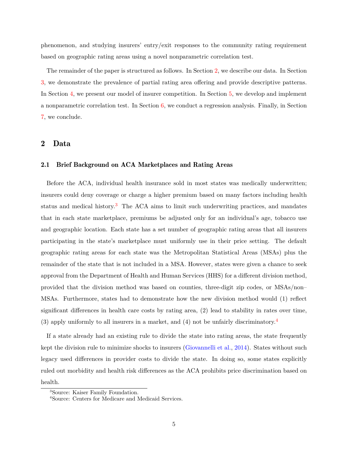phenomenon, and studying insurers' entry/exit responses to the community rating requirement based on geographic rating areas using a novel nonparametric correlation test.

The remainder of the paper is structured as follows. In Section [2,](#page-5-0) we describe our data. In Section [3,](#page-9-0) we demonstrate the prevalence of partial rating area offering and provide descriptive patterns. In Section [4,](#page-17-0) we present our model of insurer competition. In Section [5,](#page-23-0) we develop and implement a nonparametric correlation test. In Section [6,](#page-29-0) we conduct a regression analysis. Finally, in Section [7,](#page-33-1) we conclude.

# <span id="page-5-0"></span>2 Data

### 2.1 Brief Background on ACA Marketplaces and Rating Areas

Before the ACA, individual health insurance sold in most states was medically underwritten; insurers could deny coverage or charge a higher premium based on many factors including health status and medical history.[3](#page-5-1) The ACA aims to limit such underwriting practices, and mandates that in each state marketplace, premiums be adjusted only for an individual's age, tobacco use and geographic location. Each state has a set number of geographic rating areas that all insurers participating in the state's marketplace must uniformly use in their price setting. The default geographic rating areas for each state was the Metropolitan Statistical Areas (MSAs) plus the remainder of the state that is not included in a MSA. However, states were given a chance to seek approval from the Department of Health and Human Services (HHS) for a different division method, provided that the division method was based on counties, three-digit zip codes, or MSAs/non– MSAs. Furthermore, states had to demonstrate how the new division method would (1) reflect significant differences in health care costs by rating area, (2) lead to stability in rates over time, (3) apply uniformly to all insurers in a market, and (4) not be unfairly discriminatory.[4](#page-5-2)

If a state already had an existing rule to divide the state into rating areas, the state frequently kept the division rule to minimize shocks to insurers [\(Giovannelli et al.,](#page-34-8) [2014\)](#page-34-8). States without such legacy used differences in provider costs to divide the state. In doing so, some states explicitly ruled out morbidity and health risk differences as the ACA prohibits price discrimination based on health.

<span id="page-5-1"></span><sup>3</sup>Source: Kaiser Family Foundation.

<span id="page-5-2"></span><sup>4</sup>Source: Centers for Medicare and Medicaid Services.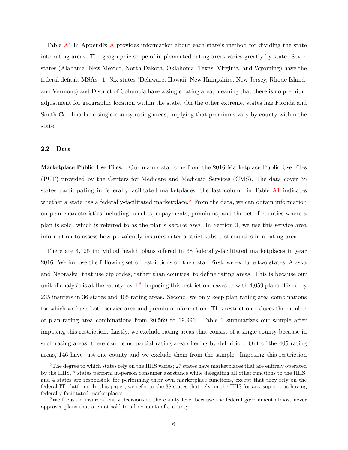Table [A1](#page-36-0) in Appendix [A](#page-36-1) provides information about each state's method for dividing the state into rating areas. The geographic scope of implemented rating areas varies greatly by state. Seven states (Alabama, New Mexico, North Dakota, Oklahoma, Texas, Virginia, and Wyoming) have the federal default MSAs+1. Six states (Delaware, Hawaii, New Hampshire, New Jersey, Rhode Island, and Vermont) and District of Columbia have a single rating area, meaning that there is no premium adjustment for geographic location within the state. On the other extreme, states like Florida and South Carolina have single-county rating areas, implying that premiums vary by county within the state.

### 2.2 Data

Marketplace Public Use Files. Our main data come from the 2016 Marketplace Public Use Files (PUF) provided by the Centers for Medicare and Medicaid Services (CMS). The data cover 38 states participating in federally-facilitated marketplaces; the last column in Table [A1](#page-36-0) indicates whether a state has a federally-facilitated marketplace.<sup>[5](#page-6-0)</sup> From the data, we can obtain information on plan characteristics including benefits, copayments, premiums, and the set of counties where a plan is sold, which is referred to as the plan's *service area*. In Section [3,](#page-9-0) we use this service area information to assess how prevalently insurers enter a strict subset of counties in a rating area.

There are 4,125 individual health plans offered in 38 federally-facilitated marketplaces in year 2016. We impose the following set of restrictions on the data. First, we exclude two states, Alaska and Nebraska, that use zip codes, rather than counties, to define rating areas. This is because our unit of analysis is at the county level.<sup>[6](#page-6-1)</sup> Imposing this restriction leaves us with 4,059 plans offered by 235 insurers in 36 states and 405 rating areas. Second, we only keep plan-rating area combinations for which we have both service area and premium information. This restriction reduces the number of plan-rating area combinations from 20,569 to 19,991. Table [1](#page-7-0) summarizes our sample after imposing this restriction. Lastly, we exclude rating areas that consist of a single county because in such rating areas, there can be no partial rating area offering by definition. Out of the 405 rating areas, 146 have just one county and we exclude them from the sample. Imposing this restriction

<span id="page-6-0"></span><sup>&</sup>lt;sup>5</sup>The degree to which states rely on the HHS varies; 27 states have marketplaces that are entirely operated by the HHS, 7 states perform in-person consumer assistance while delegating all other functions to the HHS, and 4 states are responsible for performing their own marketplace functions, except that they rely on the federal IT platform. In this paper, we refer to the 38 states that rely on the HHS for any support as having federally-facilitated marketplaces.

<span id="page-6-1"></span><sup>6</sup>We focus on insurers' entry decisions at the county level because the federal government almost never approves plans that are not sold to all residents of a county.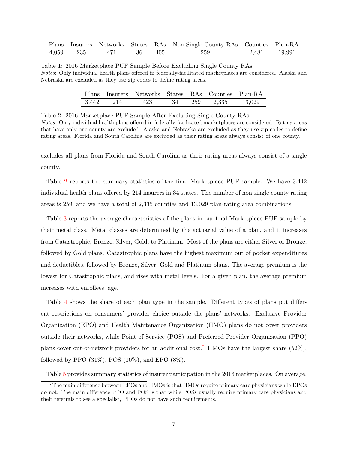<span id="page-7-0"></span>

|  |                      |  | Plans Insurers Networks States RAs Non Single County RAs Counties Plan-RA |              |
|--|----------------------|--|---------------------------------------------------------------------------|--------------|
|  | 4,059 235 471 36 405 |  | 259                                                                       | 2,481 19,991 |

<span id="page-7-1"></span>Table 1: 2016 Marketplace PUF Sample Before Excluding Single County RAs *Notes*: Only individual health plans offered in federally-facilitated marketplaces are considered. Alaska and Nebraska are excluded as they use zip codes to define rating areas.

|           | Plans Insurers Networks States RAs Counties Plan-RA |  |              |        |
|-----------|-----------------------------------------------------|--|--------------|--------|
| 3,442 214 | 423                                                 |  | 34 259 2,335 | 13,029 |

Table 2: 2016 Marketplace PUF Sample After Excluding Single County RAs

*Notes*: Only individual health plans offered in federally-facilitated marketplaces are considered. Rating areas that have only one county are excluded. Alaska and Nebraska are excluded as they use zip codes to define rating areas. Florida and South Carolina are excluded as their rating areas always consist of one county.

excludes all plans from Florida and South Carolina as their rating areas always consist of a single county.

Table [2](#page-7-1) reports the summary statistics of the final Marketplace PUF sample. We have 3,442 individual health plans offered by 214 insurers in 34 states. The number of non single county rating areas is 259, and we have a total of 2,335 counties and 13,029 plan-rating area combinations.

Table [3](#page-8-0) reports the average characteristics of the plans in our final Marketplace PUF sample by their metal class. Metal classes are determined by the actuarial value of a plan, and it increases from Catastrophic, Bronze, Silver, Gold, to Platinum. Most of the plans are either Silver or Bronze, followed by Gold plans. Catastrophic plans have the highest maximum out of pocket expenditures and deductibles, followed by Bronze, Silver, Gold and Platinum plans. The average premium is the lowest for Catastrophic plans, and rises with metal levels. For a given plan, the average premium increases with enrollees' age.

Table [4](#page-8-1) shows the share of each plan type in the sample. Different types of plans put different restrictions on consumers' provider choice outside the plans' networks. Exclusive Provider Organization (EPO) and Health Maintenance Organization (HMO) plans do not cover providers outside their networks, while Point of Service (POS) and Preferred Provider Organization (PPO) plans cover out-of-network providers for an additional cost.<sup>[7](#page-7-2)</sup> HMOs have the largest share (52%), followed by PPO  $(31\%)$ , POS  $(10\%)$ , and EPO  $(8\%)$ .

<span id="page-7-2"></span>Table [5](#page-8-2) provides summary statistics of insurer participation in the 2016 marketplaces. On average,

<sup>7</sup>The main difference between EPOs and HMOs is that HMOs require primary care physicians while EPOs do not. The main difference PPO and POS is that while POSs usually require primary care physicians and their referrals to see a specialist, PPOs do not have such requirements.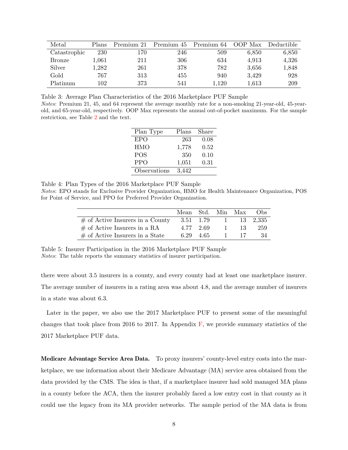<span id="page-8-0"></span>

| Metal         | Plans     | Premium 21 | Premium 45 | Premium 64 | OOP Max | Deductible |
|---------------|-----------|------------|------------|------------|---------|------------|
| Catastrophic  | 230       | 170        | 246        | 509        | 6,850   | 6,850      |
| <b>Bronze</b> | $1,\!061$ | 211        | 306        | 634        | 4,913   | 4,326      |
| Silver        | 1,282     | 261        | 378        | 782        | 3,656   | 1,848      |
| Gold          | 767       | 313        | 455        | 940        | 3,429   | 928        |
| Platinum      | 102       | 373        | 541        | 1.120      | 1,613   | 209        |

<span id="page-8-1"></span>Table 3: Average Plan Characteristics of the 2016 Marketplace PUF Sample *Notes*: Premium 21, 45, and 64 represent the average monthly rate for a non-smoking 21-year-old, 45-yearold, and 65-year-old, respectively. OOP Max represents the annual out-of-pocket maximum. For the sample restriction, see Table [2](#page-7-1) and the text.

| Plan Type    | Plans | Share |
|--------------|-------|-------|
| <b>EPO</b>   | 263   | 0.08  |
| <b>HMO</b>   | 1,778 | 0.52  |
| <b>POS</b>   | 350   | 0.10  |
| <b>PPO</b>   | 1,051 | 0.31  |
| Observations | 3,442 |       |

Table 4: Plan Types of the 2016 Marketplace PUF Sample

<span id="page-8-2"></span>*Notes*: EPO stands for Exclusive Provider Organization, HMO for Health Maintenance Organization, POS for Point of Service, and PPO for Preferred Provider Organization.

|                                     | Mean Std. Min Max |           |              |     | Obs      |
|-------------------------------------|-------------------|-----------|--------------|-----|----------|
| $\#$ of Active Insurers in a County | 3.51 1.79         |           | $\sim$ 1     |     | 13 2.335 |
| $\#$ of Active Insurers in a RA     |                   | 4.77 2.69 | $\mathbf{1}$ | 13. | 259      |
| $\#$ of Active Insurers in a State  |                   | 6.29 4.65 | $\sim 1$     | -17 | -34      |

Table 5: Insurer Participation in the 2016 Marketplace PUF Sample *Notes*: The table reports the summary statistics of insurer participation.

there were about 3.5 insurers in a county, and every county had at least one marketplace insurer. The average number of insurers in a rating area was about 4.8, and the average number of insurers in a state was about 6.3.

Later in the paper, we also use the 2017 Marketplace PUF to present some of the meaningful changes that took place from 2016 to 2017. In Appendix  $\mathbf{F}$ , we provide summary statistics of the 2017 Marketplace PUF data.

Medicare Advantage Service Area Data. To proxy insurers' county-level entry costs into the marketplace, we use information about their Medicare Advantage (MA) service area obtained from the data provided by the CMS. The idea is that, if a marketplace insurer had sold managed MA plans in a county before the ACA, then the insurer probably faced a low entry cost in that county as it could use the legacy from its MA provider networks. The sample period of the MA data is from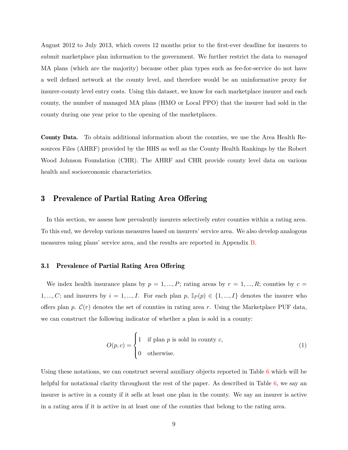August 2012 to July 2013, which covers 12 months prior to the first-ever deadline for insurers to submit marketplace plan information to the government. We further restrict the data to *managed* MA plans (which are the majority) because other plan types such as fee-for-service do not have a well defined network at the county level, and therefore would be an uninformative proxy for insurer-county level entry costs. Using this dataset, we know for each marketplace insurer and each county, the number of managed MA plans (HMO or Local PPO) that the insurer had sold in the county during one year prior to the opening of the marketplaces.

County Data. To obtain additional information about the counties, we use the Area Health Resources Files (AHRF) provided by the HHS as well as the County Health Rankings by the Robert Wood Johnson Foundation (CHR). The AHRF and CHR provide county level data on various health and socioeconomic characteristics.

# <span id="page-9-0"></span>3 Prevalence of Partial Rating Area Offering

In this section, we assess how prevalently insurers selectively enter counties within a rating area. To this end, we develop various measures based on insurers' service area. We also develop analogous measures using plans' service area, and the results are reported in Appendix [B.](#page-37-0)

#### 3.1 Prevalence of Partial Rating Area Offering

We index health insurance plans by  $p = 1, ..., P$ ; rating areas by  $r = 1, ..., R$ ; counties by  $c =$ 1, ..., C; and insurers by  $i = 1, ..., I$ . For each plan  $p, \mathbb{I}_P(p) \in \{1, ..., I\}$  denotes the insurer who offers plan *p*.  $\mathcal{C}(r)$  denotes the set of counties in rating area *r*. Using the Marketplace PUF data, we can construct the following indicator of whether a plan is sold in a county:

$$
O(p, c) = \begin{cases} 1 & \text{if plan } p \text{ is sold in county } c, \\ 0 & \text{otherwise.} \end{cases}
$$
 (1)

Using these notations, we can construct several auxiliary objects reported in Table [6](#page-10-0) which will be helpful for notational clarity throughout the rest of the paper. As described in Table [6,](#page-10-0) we say an insurer is active in a county if it sells at least one plan in the county. We say an insurer is active in a rating area if it is active in at least one of the counties that belong to the rating area.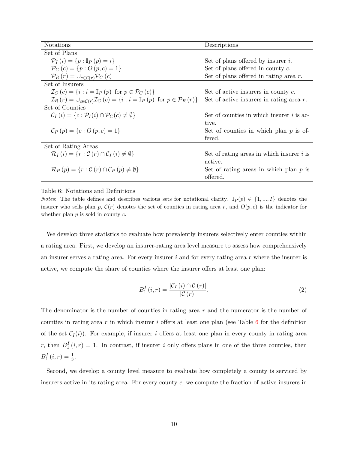<span id="page-10-0"></span>

| <b>Notations</b>                                                                                                                        | Descriptions                                |
|-----------------------------------------------------------------------------------------------------------------------------------------|---------------------------------------------|
| Set of Plans                                                                                                                            |                                             |
| $\mathcal{P}_I(i) = \{p : \mathbb{I}_P(p) = i\}$                                                                                        | Set of plans offered by insurer $i$ .       |
| $\mathcal{P}_C(c) = \{p : O(p, c) = 1\}$                                                                                                | Set of plans offered in county $c$ .        |
| $\mathcal{P}_R(r) = \bigcup_{c \in \mathcal{C}(r)} \mathcal{P}_C(c)$                                                                    | Set of plans offered in rating area $r$ .   |
| Set of Insurers                                                                                                                         |                                             |
| $\mathcal{I}_C(c) = \{i : i = \mathbb{I}_P(p) \text{ for } p \in \mathcal{P}_C(c)\}\$                                                   | Set of active insurers in county $c$ .      |
| $\mathcal{I}_R(r) = \bigcup_{c \in \mathcal{C}(r)} \mathcal{I}_C(c) = \{i : i = \mathbb{I}_P(p) \text{ for } p \in \mathcal{P}_R(r)\}\$ | Set of active insurers in rating area $r$ . |
| Set of Counties                                                                                                                         |                                             |
| $\mathcal{C}_I(i) = \{c : \mathcal{P}_I(i) \cap \mathcal{P}_C(c) \neq \emptyset\}$                                                      | Set of counties in which insurer $i$ is ac- |
|                                                                                                                                         | tive.                                       |
| $\mathcal{C}_P(p) = \{c : O(p, c) = 1\}$                                                                                                | Set of counties in which plan $p$ is of-    |
|                                                                                                                                         | fered.                                      |
| Set of Rating Areas                                                                                                                     |                                             |
| $\mathcal{R}_I(i) = \{r : \mathcal{C}(r) \cap \mathcal{C}_I(i) \neq \emptyset\}$                                                        | Set of rating areas in which insurer $i$ is |
|                                                                                                                                         | active.                                     |
| $\mathcal{R}_P(p) = \{r : \mathcal{C}(r) \cap \mathcal{C}_P(p) \neq \emptyset\}$                                                        | Set of rating areas in which plan $p$ is    |
|                                                                                                                                         | offered.                                    |

Table 6: Notations and Definitions

*Notes*: The table defines and describes various sets for notational clarity.  $\mathbb{I}_P(p) \in \{1, ..., I\}$  denotes the insurer who sells plan p,  $\mathcal{C}(r)$  denotes the set of counties in rating area r, and  $O(p, c)$  is the indicator for whether plan *p* is sold in county *c*.

We develop three statistics to evaluate how prevalently insurers selectively enter counties within a rating area. First, we develop an insurer-rating area level measure to assess how comprehensively an insurer serves a rating area. For every insurer *i* and for every rating area *r* where the insurer is active, we compute the share of counties where the insurer offers at least one plan:

$$
B_1^I(i,r) = \frac{|\mathcal{C}_I(i) \cap \mathcal{C}(r)|}{|\mathcal{C}(r)|}.
$$
\n(2)

The denominator is the number of counties in rating area r and the numerator is the number of counties in rating area *r* in which insurer *i* offers at least one plan (see Table [6](#page-10-0) for the definition of the set  $C_I(i)$ ). For example, if insurer *i* offers at least one plan in every county in rating area *r*, then  $B_1^I(i,r) = 1$ . In contrast, if insurer *i* only offers plans in one of the three counties, then  $B_1^I(i,r) = \frac{1}{3}.$ 

Second, we develop a county level measure to evaluate how completely a county is serviced by insurers active in its rating area. For every county *c*, we compute the fraction of active insurers in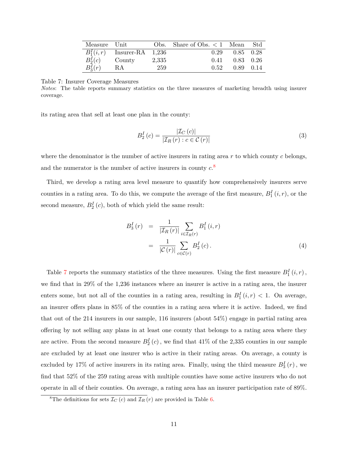<span id="page-11-1"></span>

| Measure Unit |                               |     | Obs. Share of Obs. $\lt 1$ Mean Std |                      |  |
|--------------|-------------------------------|-----|-------------------------------------|----------------------|--|
|              | $B_1^I(i,r)$ Insurer-RA 1,236 |     |                                     | $0.29$ $0.85$ $0.28$ |  |
| $B_2^I(c)$   | $County$ 2,335                |     | 0.41                                | $0.83$ 0.26          |  |
| $B_3^I(r)$   | RA                            | 259 | 0.52                                | $0.89$ 0.14          |  |

Table 7: Insurer Coverage Measures

*Notes*: The table reports summary statistics on the three measures of marketing breadth using insurer coverage.

its rating area that sell at least one plan in the county:

<span id="page-11-2"></span>
$$
B_2^I(c) = \frac{|\mathcal{I}_C(c)|}{|\mathcal{I}_R(r) : c \in \mathcal{C}(r)|}
$$
\n(3)

where the denominator is the number of active insurers in rating area *r* to which county *c* belongs, and the numerator is the number of active insurers in county *c*. [8](#page-11-0)

Third, we develop a rating area level measure to quantify how comprehensively insurers serve counties in a rating area. To do this, we compute the average of the first measure,  $B_1^I(i, r)$ , or the second measure,  $B_2^I(c)$ , both of which yield the same result:

$$
B_3^I(r) = \frac{1}{|\mathcal{I}_R(r)|} \sum_{i \in \mathcal{I}_R(r)} B_1^I(i, r)
$$

$$
= \frac{1}{|\mathcal{C}(r)|} \sum_{c \in \mathcal{C}(r)} B_2^I(c).
$$
(4)

Table [7](#page-11-1) reports the summary statistics of the three measures. Using the first measure  $B_1^I(i, r)$ , we find that in 29% of the 1,236 instances where an insurer is active in a rating area, the insurer enters some, but not all of the counties in a rating area, resulting in  $B_1^I(i,r) < 1$ . On average, an insurer offers plans in 85% of the counties in a rating area where it is active. Indeed, we find that out of the 214 insurers in our sample, 116 insurers (about 54%) engage in partial rating area offering by not selling any plans in at least one county that belongs to a rating area where they are active. From the second measure  $B_2^I(c)$ , we find that 41% of the 2,335 counties in our sample are excluded by at least one insurer who is active in their rating areas. On average, a county is excluded by 17% of active insurers in its rating area. Finally, using the third measure  $B_3^I(r)$ , we find that 52% of the 259 rating areas with multiple counties have some active insurers who do not operate in all of their counties. On average, a rating area has an insurer participation rate of 89%.

<span id="page-11-0"></span><sup>&</sup>lt;sup>8</sup>The definitions for sets  $\mathcal{I}_C(c)$  and  $\mathcal{I}_R(r)$  are provided in Table [6.](#page-10-0)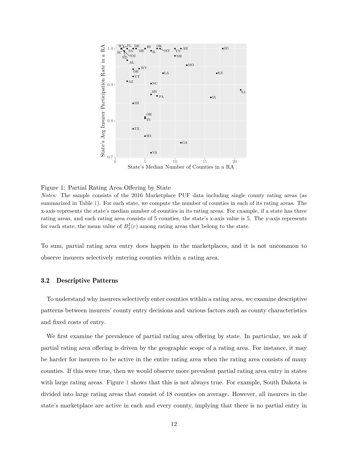<span id="page-12-0"></span>

Figure 1: Partial Rating Area Offering by State

*Notes:* The sample consists of the 2016 Marketplace PUF data including single county rating areas (as summarized in Table [1\)](#page-7-0). For each state, we compute the number of counties in each of its rating areas. The x-axis represents the state's median number of counties in its rating areas. For example, if a state has three rating areas, and each rating area consists of 5 counties, the state's x-axis value is 5. The y-axis represents for each state, the mean value of  $B_3^I(r)$  among rating areas that belong to the state.

To sum, partial rating area entry does happen in the marketplaces, and it is not uncommon to observe insurers selectively entering counties within a rating area.

#### 3.2 Descriptive Patterns

To understand why insurers selectively enter counties within a rating area, we examine descriptive patterns between insurers' county entry decisions and various factors such as county characteristics and fixed costs of entry.

We first examine the prevalence of partial rating area offering by state. In particular, we ask if partial rating area offering is driven by the geographic scope of a rating area. For instance, it may be harder for insurers to be active in the entire rating area when the rating area consists of many counties. If this were true, then we would observe more prevalent partial rating area entry in states with large rating areas. Figure [1](#page-12-0) shows that this is not always true. For example, South Dakota is divided into large rating areas that consist of 18 counties on average. However, all insurers in the state's marketplace are active in each and every county, implying that there is no partial entry in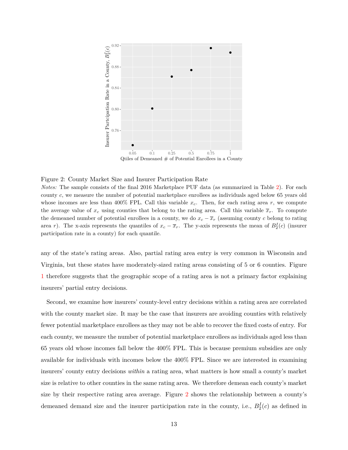<span id="page-13-0"></span>

Figure 2: County Market Size and Insurer Participation Rate

*Notes:* The sample consists of the final 2016 Marketplace PUF data (as summarized in Table [2\)](#page-7-1). For each county *c*, we measure the number of potential marketplace enrollees as individuals aged below 65 years old whose incomes are less than  $400\%$  FPL. Call this variable  $x_c$ . Then, for each rating area  $r$ , we compute the average value of  $x_c$  using counties that belong to the rating area. Call this variable  $\bar{x}_r$ . To compute the demeaned number of potential enrollees in a county, we do  $x_c - \overline{x}_r$  (assuming county *c* belong to rating area *r*). The x-axis represents the quantiles of  $x_c - \overline{x}_r$ . The y-axis represents the mean of  $B_2^I(c)$  (insurer participation rate in a county) for each quantile.

any of the state's rating areas. Also, partial rating area entry is very common in Wisconsin and Virginia, but these states have moderately-sized rating areas consisting of 5 or 6 counties. Figure [1](#page-12-0) therefore suggests that the geographic scope of a rating area is not a primary factor explaining insurers' partial entry decisions.

Second, we examine how insurers' county-level entry decisions within a rating area are correlated with the county market size. It may be the case that insurers are avoiding counties with relatively fewer potential marketplace enrollees as they may not be able to recover the fixed costs of entry. For each county, we measure the number of potential marketplace enrollees as individuals aged less than 65 years old whose incomes fall below the 400% FPL. This is because premium subsidies are only available for individuals with incomes below the 400% FPL. Since we are interested in examining insurers' county entry decisions *within* a rating area, what matters is how small a county's market size is relative to other counties in the same rating area. We therefore demean each county's market size by their respective rating area average. Figure [2](#page-13-0) shows the relationship between a county's demeaned demand size and the insurer participation rate in the county, i.e.,  $B_2^I(c)$  as defined in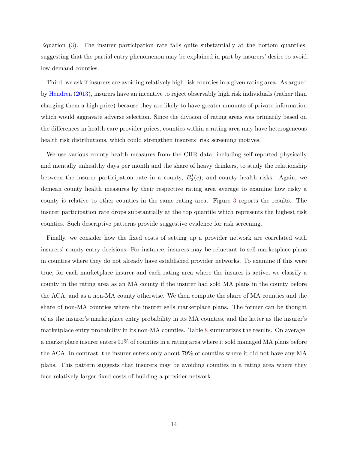Equation [\(3\)](#page-11-2). The insurer participation rate falls quite substantially at the bottom quantiles, suggesting that the partial entry phenomenon may be explained in part by insurers' desire to avoid low demand counties.

Third, we ask if insurers are avoiding relatively high risk counties in a given rating area. As argued by [Hendren](#page-34-9) [\(2013\)](#page-34-9), insurers have an incentive to reject observably high risk individuals (rather than charging them a high price) because they are likely to have greater amounts of private information which would aggravate adverse selection. Since the division of rating areas was primarily based on the differences in health care provider prices, counties within a rating area may have heterogeneous health risk distributions, which could strengthen insurers' risk screening motives.

We use various county health measures from the CHR data, including self-reported physically and mentally unhealthy days per month and the share of heavy drinkers, to study the relationship between the insurer participation rate in a county,  $B_2^I(c)$ , and county health risks. Again, we demean county health measures by their respective rating area average to examine how risky a county is relative to other counties in the same rating area. Figure [3](#page-15-0) reports the results. The insurer participation rate drops substantially at the top quantile which represents the highest risk counties. Such descriptive patterns provide suggestive evidence for risk screening.

Finally, we consider how the fixed costs of setting up a provider network are correlated with insurers' county entry decisions. For instance, insurers may be reluctant to sell marketplace plans in counties where they do not already have established provider networks. To examine if this were true, for each marketplace insurer and each rating area where the insurer is active, we classify a county in the rating area as an MA county if the insurer had sold MA plans in the county before the ACA, and as a non-MA county otherwise. We then compute the share of MA counties and the share of non-MA counties where the insurer sells marketplace plans. The former can be thought of as the insurer's marketplace entry probability in its MA counties, and the latter as the insurer's marketplace entry probability in its non-MA counties. Table [8](#page-16-0) summarizes the results. On average, a marketplace insurer enters 91% of counties in a rating area where it sold managed MA plans before the ACA. In contrast, the insurer enters only about 79% of counties where it did not have any MA plans. This pattern suggests that insurers may be avoiding counties in a rating area where they face relatively larger fixed costs of building a provider network.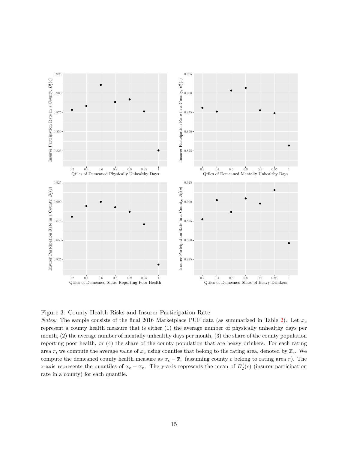<span id="page-15-0"></span>

Figure 3: County Health Risks and Insurer Participation Rate

*Notes:* The sample consists of the final 2016 Marketplace PUF data (as summarized in Table [2\)](#page-7-1). Let *x<sup>c</sup>* represent a county health measure that is either (1) the average number of physically unhealthy days per month, (2) the average number of mentally unhealthy days per month, (3) the share of the county population reporting poor health, or (4) the share of the county population that are heavy drinkers. For each rating area *r*, we compute the average value of  $x_c$  using counties that belong to the rating area, denoted by  $\bar{x}_r$ . We compute the demeaned county health measure as  $x_c - \overline{x}_r$  (assuming county *c* belong to rating area *r*). The x-axis represents the quantiles of  $x_c - \overline{x}_r$ . The y-axis represents the mean of  $B_2^I(c)$  (insurer participation rate in a county) for each quantile.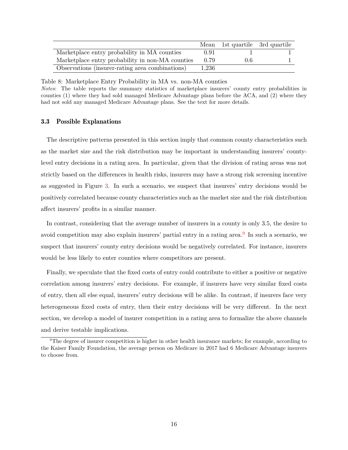<span id="page-16-0"></span>

|                                                  |       | Mean 1st quartile 3rd quartile |  |
|--------------------------------------------------|-------|--------------------------------|--|
| Marketplace entry probability in MA counties     | 0.91  |                                |  |
| Marketplace entry probability in non-MA counties | 0.79  | $0.6^{\circ}$                  |  |
| Observations (insurer-rating area combinations)  | 1.236 |                                |  |

Table 8: Marketplace Entry Probability in MA vs. non-MA counties

*Notes*: The table reports the summary statistics of marketplace insurers' county entry probabilities in counties (1) where they had sold managed Medicare Advantage plans before the ACA, and (2) where they had not sold any managed Medicare Advantage plans. See the text for more details.

#### 3.3 Possible Explanations

The descriptive patterns presented in this section imply that common county characteristics such as the market size and the risk distribution may be important in understanding insurers' countylevel entry decisions in a rating area. In particular, given that the division of rating areas was not strictly based on the differences in health risks, insurers may have a strong risk screening incentive as suggested in Figure [3.](#page-15-0) In such a scenario, we suspect that insurers' entry decisions would be positively correlated because county characteristics such as the market size and the risk distribution affect insurers' profits in a similar manner.

In contrast, considering that the average number of insurers in a county is only 3.5, the desire to avoid competition may also explain insurers' partial entry in a rating area.<sup>[9](#page-16-1)</sup> In such a scenario, we suspect that insurers' county entry decisions would be negatively correlated. For instance, insurers would be less likely to enter counties where competitors are present.

Finally, we speculate that the fixed costs of entry could contribute to either a positive or negative correlation among insurers' entry decisions. For example, if insurers have very similar fixed costs of entry, then all else equal, insurers' entry decisions will be alike. In contrast, if insurers face very heterogeneous fixed costs of entry, then their entry decisions will be very different. In the next section, we develop a model of insurer competition in a rating area to formalize the above channels and derive testable implications.

<span id="page-16-1"></span> $9$ The degree of insurer competition is higher in other health insurance markets; for example, according to the Kaiser Family Foundation, the average person on Medicare in 2017 had 6 Medicare Advantage insurers to choose from.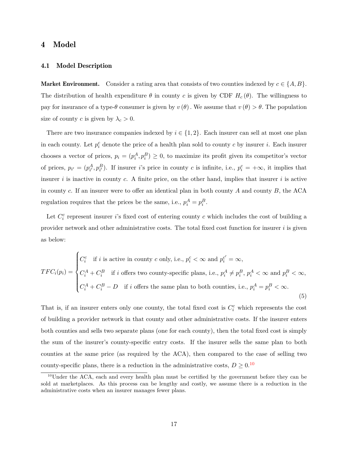## <span id="page-17-0"></span>4 Model

### 4.1 Model Description

**Market Environment.** Consider a rating area that consists of two counties indexed by  $c \in \{A, B\}$ . The distribution of health expenditure  $\theta$  in county *c* is given by CDF  $H_c(\theta)$ . The willingness to pay for insurance of a type- $\theta$  consumer is given by  $v(\theta)$ . We assume that  $v(\theta) > \theta$ . The population size of county *c* is given by  $\lambda_c > 0$ .

There are two insurance companies indexed by  $i \in \{1, 2\}$ . Each insurer can sell at most one plan in each county. Let  $p_i^c$  denote the price of a health plan sold to county *c* by insurer *i*. Each insurer chooses a vector of prices,  $p_i = (p_i^A, p_i^B) \geq 0$ , to maximize its profit given its competitor's vector of prices,  $p_{i'} = (p_{i'}^A, p_{i'}^B)$ . If insurer *i*'s price in county *c* is infinite, i.e.,  $p_i^c = +\infty$ , it implies that insurer *i* is inactive in county *c*. A finite price, on the other hand, implies that insurer *i* is active in county *c*. If an insurer were to offer an identical plan in both county *A* and county *B*, the ACA regulation requires that the prices be the same, i.e.,  $p_i^A = p_i^B$ .

Let  $C_i^c$  represent insurer *i*'s fixed cost of entering county *c* which includes the cost of building a provider network and other administrative costs. The total fixed cost function for insurer *i* is given as below:

$$
TFC_i(p_i) = \begin{cases} C_i^c & \text{if } i \text{ is active in county } c \text{ only, i.e., } p_i^c < \infty \text{ and } p_i^{c'} = \infty, \\ C_i^A + C_i^B & \text{if } i \text{ offers two county-specific plans, i.e., } p_i^A \neq p_i^B, p_i^A < \infty \text{ and } p_i^B < \infty, \\ C_i^A + C_i^B - D & \text{if } i \text{ offers the same plan to both countries, i.e., } p_i^A = p_i^B < \infty. \end{cases}
$$
(5)

That is, if an insurer enters only one county, the total fixed cost is  $C_i^c$  which represents the cost of building a provider network in that county and other administrative costs. If the insurer enters both counties and sells two separate plans (one for each county), then the total fixed cost is simply the sum of the insurer's county-specific entry costs. If the insurer sells the same plan to both counties at the same price (as required by the ACA), then compared to the case of selling two county-specific plans, there is a reduction in the administrative costs,  $D \geq 0.10$  $D \geq 0.10$ 

<span id="page-17-1"></span><sup>&</sup>lt;sup>10</sup>Under the ACA, each and every health plan must be certified by the government before they can be sold at marketplaces. As this process can be lengthy and costly, we assume there is a reduction in the administrative costs when an insurer manages fewer plans.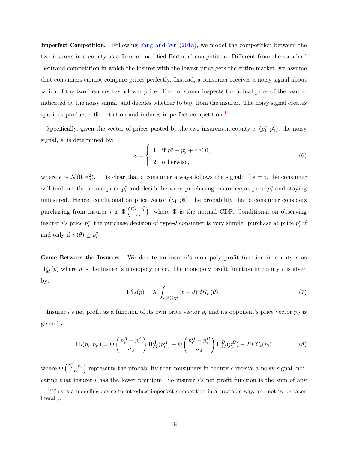Imperfect Competition. Following [Fang and Wu](#page-34-10) [\(2018\)](#page-34-10), we model the competition between the two insurers in a county as a form of modified Bertrand competition. Different from the standard Bertrand competition in which the insurer with the lowest price gets the entire market, we assume that consumers cannot compare prices perfectly. Instead, a consumer receives a noisy signal about which of the two insurers has a lower price. The consumer inspects the actual price of the insurer indicated by the noisy signal, and decides whether to buy from the insurer. The noisy signal creates spurious product differentiation and induces imperfect competition.<sup>[11](#page-18-0)</sup>

Specifically, given the vector of prices posted by the two insurers in county  $c, (p_1^c, p_2^c)$ , the noisy signal, *s*, is determined by:

$$
s = \begin{cases} 1 & \text{if } p_1^c - p_2^c + \epsilon \le 0, \\ 2 & \text{otherwise,} \end{cases}
$$
 (6)

where  $\epsilon \sim \mathcal{N}(0, \sigma_s^2)$ . It is clear that a consumer always follows the signal: if  $s = i$ , the consumer will find out the actual price  $p_i^c$  and decide between purchasing insurance at price  $p_i^c$  and staying uninsured. Hence, conditional on price vector  $(p_1^c, p_2^c)$ , the probability that a consumer considers purchasing from insurer *i* is  $\Phi\left(\frac{p_{i'}^c - p_i^c}{\sigma_s}\right)$ ), where  $\Phi$  is the normal CDF. Conditional on observing insurer *i*'s price  $p_i^c$ , the purchase decision of type- $\theta$  consumer is very simple: purchase at price  $p_i^c$  if and only if  $v(\theta) \ge p_i^c$ .

Game Between the Insurers. We denote an insurer's monopoly profit function in county c as  $\Pi_M^c(p)$  where *p* is the insurer's monopoly price. The monopoly profit function in county *c* is given by:

$$
\Pi_M^c(p) = \lambda_c \int_{v(\theta) \ge p} (p - \theta) dH_c(\theta).
$$
 (7)

Insurer *i*'s net profit as a function of its own price vector  $p_i$  and its opponent's price vector  $p_i$  is given by

$$
\Pi_i(p_i, p_{i'}) = \Phi\left(\frac{p_{i'}^A - p_i^A}{\sigma_s}\right) \Pi_M^A(p_i^A) + \Phi\left(\frac{p_{i'}^B - p_i^B}{\sigma_s}\right) \Pi_M^B(p_i^B) - TFC_i(p_i)
$$
\n(8)

where  $\Phi\left(\frac{p_{i'}^c - p_i^c}{\sigma_s}\right)$ ) represents the probability that consumers in county  $c$  receive a noisy signal indicating that insurer *i* has the lower premium. So insurer *i*'s net profit function is the sum of any

<span id="page-18-0"></span><sup>&</sup>lt;sup>11</sup>This is a modeling device to introduce imperfect competition in a tractable way, and not to be taken literally.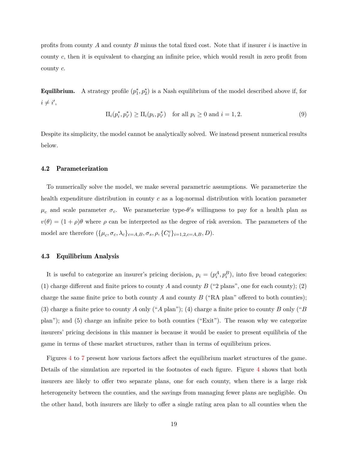profits from county *A* and county *B* minus the total fixed cost. Note that if insurer *i* is inactive in county *c*, then it is equivalent to charging an infinite price, which would result in zero profit from county *c*.

**Equilibrium.** A strategy profile  $(p_1^*, p_2^*)$  is a Nash equilibrium of the model described above if, for  $i \neq i',$ 

$$
\Pi_i(p_i^*, p_{i'}^*) \ge \Pi_i(p_i, p_{i'}^*) \quad \text{for all } p_i \ge 0 \text{ and } i = 1, 2. \tag{9}
$$

Despite its simplicity, the model cannot be analytically solved. We instead present numerical results below.

### 4.2 Parameterization

To numerically solve the model, we make several parametric assumptions. We parameterize the health expenditure distribution in county *c* as a log-normal distribution with location parameter  $\mu_c$  and scale parameter  $\sigma_c$ . We parameterize type- $\theta$ 's willingness to pay for a health plan as  $v(\theta) = (1 + \rho)\theta$  where  $\rho$  can be interpreted as the degree of risk aversion. The parameters of the model are therefore  $({\mu_c, \sigma_c, \lambda_c}_{c=A,B}, \sigma_s, \rho, {C_i^c}_{i=B=1,2,c=A,B}, D)$ .

### 4.3 Equilibrium Analysis

It is useful to categorize an insurer's pricing decision,  $p_i = (p_i^A, p_i^B)$ , into five broad categories: (1) charge different and finite prices to county  $A$  and county  $B$  ("2 plans", one for each county); (2) charge the same finite price to both county *A* and county *B* ("RA plan" offered to both counties); (3) charge a finite price to county *A* only ("*A* plan"); (4) charge a finite price to county *B* only ("*B* plan"); and (5) charge an infinite price to both counties ("Exit"). The reason why we categorize insurers' pricing decisions in this manner is because it would be easier to present equilibria of the game in terms of these market structures, rather than in terms of equilibrium prices.

Figures [4](#page-20-0) to [7](#page-23-1) present how various factors affect the equilibrium market structures of the game. Details of the simulation are reported in the footnotes of each figure. Figure [4](#page-20-0) shows that both insurers are likely to offer two separate plans, one for each county, when there is a large risk heterogeneity between the counties, and the savings from managing fewer plans are negligible. On the other hand, both insurers are likely to offer a single rating area plan to all counties when the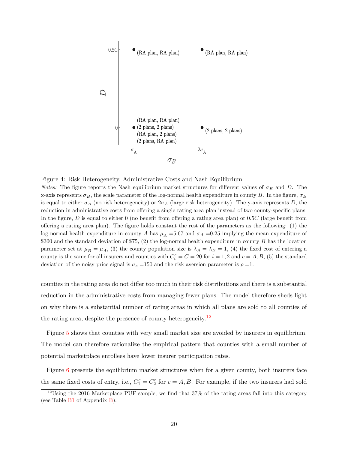<span id="page-20-0"></span>

Figure 4: Risk Heterogeneity, Administrative Costs and Nash Equilibrium

*Notes:* The figure reports the Nash equilibrium market structures for different values of  $\sigma_B$  and *D*. The x-axis represents  $\sigma_B$ , the scale parameter of the log-normal health expenditure in county *B*. In the figure,  $\sigma_B$ is equal to either  $\sigma_A$  (no risk heterogeneity) or  $2\sigma_A$  (large risk heterogeneity). The y-axis represents *D*, the reduction in administrative costs from offering a single rating area plan instead of two county-specific plans. In the figure, *D* is equal to either 0 (no benefit from offering a rating area plan) or 0*.*5*C* (large benefit from offering a rating area plan). The figure holds constant the rest of the parameters as the following: (1) the log-normal health expenditure in county *A* has  $\mu_A = 5.67$  and  $\sigma_A = 0.25$  implying the mean expenditure of \$300 and the standard deviation of \$75, (2) the log-normal health expenditure in county *B* has the location parameter set at  $\mu_B = \mu_A$ , (3) the county population size is  $\lambda_A = \lambda_B = 1$ , (4) the fixed cost of entering a county is the same for all insurers and counties with  $C_i^c = C = 20$  for  $i = 1, 2$  and  $c = A, B, (5)$  the standard deviation of the noisy price signal is  $\sigma_s = 150$  and the risk aversion parameter is  $\rho = 1$ .

counties in the rating area do not differ too much in their risk distributions and there is a substantial reduction in the administrative costs from managing fewer plans. The model therefore sheds light on why there is a substantial number of rating areas in which all plans are sold to all counties of the rating area, despite the presence of county heterogeneity.<sup>[12](#page-20-1)</sup>

Figure [5](#page-21-0) shows that counties with very small market size are avoided by insurers in equilibrium. The model can therefore rationalize the empirical pattern that counties with a small number of potential marketplace enrollees have lower insurer participation rates.

Figure [6](#page-22-0) presents the equilibrium market structures when for a given county, both insurers face the same fixed costs of entry, i.e.,  $C_1^c = C_2^c$  for  $c = A, B$ . For example, if the two insurers had sold

<span id="page-20-1"></span><sup>&</sup>lt;sup>12</sup>Using the 2016 Marketplace PUF sample, we find that 37% of the rating areas fall into this category (see Table [B1](#page-39-0) of Appendix [B\)](#page-37-0).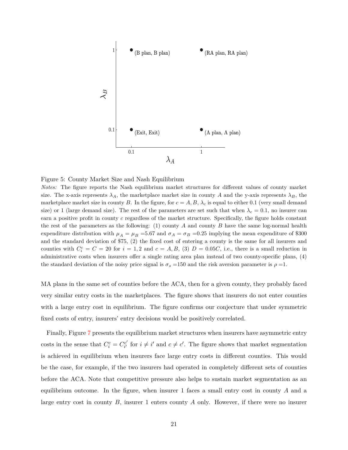<span id="page-21-0"></span>

Figure 5: County Market Size and Nash Equilibrium

*Notes:* The figure reports the Nash equilibrium market structures for different values of county market size. The x-axis represents  $\lambda_A$ , the marketplace market size in county *A* and the y-axis represents  $\lambda_B$ , the marketplace market size in county *B*. In the figure, for  $c = A, B, \lambda_c$  is equal to either 0.1 (very small demand size) or 1 (large demand size). The rest of the parameters are set such that when  $\lambda_c = 0.1$ , no insurer can earn a positive profit in county *c* regardless of the market structure. Specifically, the figure holds constant the rest of the parameters as the following: (1) county *A* and county *B* have the same log-normal health expenditure distribution with  $\mu_A = \mu_B = 5.67$  and  $\sigma_A = \sigma_B = 0.25$  implying the mean expenditure of \$300 and the standard deviation of \$75, (2) the fixed cost of entering a county is the same for all insurers and counties with  $C_i^c = C = 20$  for  $i = 1, 2$  and  $c = A, B, (3)$   $D = 0.05C$ , i.e., there is a small reduction in administrative costs when insurers offer a single rating area plan instead of two county-specific plans, (4) the standard deviation of the noisy price signal is  $\sigma_s = 150$  and the risk aversion parameter is  $\rho = 1$ .

MA plans in the same set of counties before the ACA, then for a given county, they probably faced very similar entry costs in the marketplaces. The figure shows that insurers do not enter counties with a large entry cost in equilibrium. The figure confirms our conjecture that under symmetric fixed costs of entry, insurers' entry decisions would be positively correlated.

Finally, Figure [7](#page-23-1) presents the equilibrium market structures when insurers have asymmetric entry costs in the sense that  $C_i^c = C_{i'}^{c'}$  $c_i^c$  for  $i \neq i'$  and  $c \neq c'$ . The figure shows that market segmentation is achieved in equilibrium when insurers face large entry costs in different counties. This would be the case, for example, if the two insurers had operated in completely different sets of counties before the ACA. Note that competitive pressure also helps to sustain market segmentation as an equilibrium outcome. In the figure, when insurer 1 faces a small entry cost in county *A* and a large entry cost in county *B*, insurer 1 enters county *A* only. However, if there were no insurer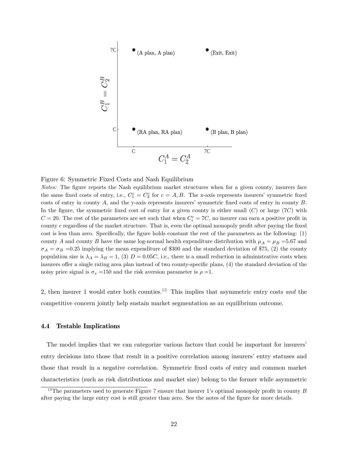<span id="page-22-0"></span>

Figure 6: Symmetric Fixed Costs and Nash Equilibrium

*Notes:* The figure reports the Nash equilibrium market structures when for a given county, insurers face the same fixed costs of entry, i.e.,  $C_1^c = C_2^c$  for  $c = A, B$ . The x-axis represents insurers' symmetric fixed costs of entry in county *A*, and the y-axis represents insurers' symmetric fixed costs of entry in county *B*. In the figure, the symmetric fixed cost of entry for a given county is either small (*C*) or large (7*C*) with  $C = 20$ . The rest of the parameters are set such that when  $C_i^c = 7C$ , no insurer can earn a positive profit in county *c* regardless of the market structure. That is, even the optimal monopoly profit after paying the fixed cost is less than zero. Specifically, the figure holds constant the rest of the parameters as the following: (1) county *A* and county *B* have the same log-normal health expenditure distribution with  $\mu_A = \mu_B = 5.67$  and  $\sigma_A = \sigma_B = 0.25$  implying the mean expenditure of \$300 and the standard deviation of \$75, (2) the county population size is  $\lambda_A = \lambda_B = 1$ , (3)  $D = 0.05C$ , i.e., there is a small reduction in administrative costs when insurers offer a single rating area plan instead of two county-specific plans, (4) the standard deviation of the noisy price signal is  $\sigma_s = 150$  and the risk aversion parameter is  $\rho = 1$ .

2, then insurer 1 would enter both counties.[13](#page-22-1) This implies that asymmetric entry costs *and* the competitive concern jointly help sustain market segmentation as an equilibrium outcome.

#### 4.4 Testable Implications

The model implies that we can categorize various factors that could be important for insurers' entry decisions into those that result in a positive correlation among insurers' entry statuses and those that result in a negative correlation. Symmetric fixed costs of entry and common market characteristics (such as risk distributions and market size) belong to the former while asymmetric

<span id="page-22-1"></span><sup>&</sup>lt;sup>13</sup>The parameters used to generate Figure [7](#page-23-1) ensure that insurer 1's optimal monopoly profit in county *B* after paying the large entry cost is still greater than zero. See the notes of the figure for more details.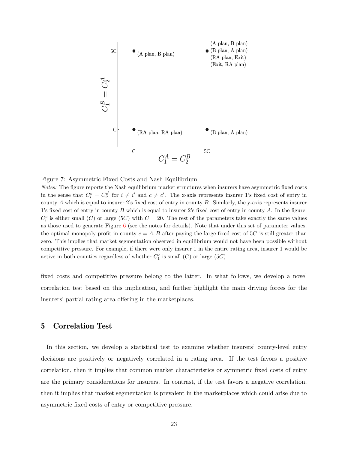<span id="page-23-1"></span>

Figure 7: Asymmetric Fixed Costs and Nash Equilibrium

*Notes:* The figure reports the Nash equilibrium market structures when insurers have asymmetric fixed costs in the sense that  $C_i^c = C_{i'}^{c'}$  for  $i \neq i'$  and  $c \neq c'$ . The x-axis represents insurer 1's fixed cost of entry in county *A* which is equal to insurer 2's fixed cost of entry in county *B*. Similarly, the y-axis represents insurer 1's fixed cost of entry in county *B* which is equal to insurer 2's fixed cost of entry in county *A*. In the figure,  $C_i^c$  is either small (*C*) or large (5*C*) with  $C = 20$ . The rest of the parameters take exactly the same values as those used to generate Figure  $6$  (see the notes for details). Note that under this set of parameter values, the optimal monopoly profit in county  $c = A, B$  after paying the large fixed cost of 5*C* is still greater than zero. This implies that market segmentation observed in equilibrium would not have been possible without competitive pressure. For example, if there were only insurer 1 in the entire rating area, insurer 1 would be active in both counties regardless of whether  $C_1^c$  is small  $(C)$  or large  $(5C)$ .

fixed costs and competitive pressure belong to the latter. In what follows, we develop a novel correlation test based on this implication, and further highlight the main driving forces for the insurers' partial rating area offering in the marketplaces.

# <span id="page-23-0"></span>5 Correlation Test

In this section, we develop a statistical test to examine whether insurers' county-level entry decisions are positively or negatively correlated in a rating area. If the test favors a positive correlation, then it implies that common market characteristics or symmetric fixed costs of entry are the primary considerations for insurers. In contrast, if the test favors a negative correlation, then it implies that market segmentation is prevalent in the marketplaces which could arise due to asymmetric fixed costs of entry or competitive pressure.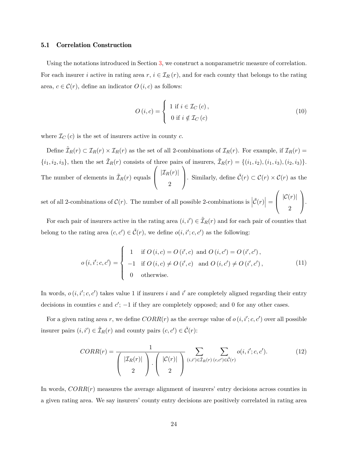#### 5.1 Correlation Construction

Using the notations introduced in Section [3,](#page-9-0) we construct a nonparametric measure of correlation. For each insurer *i* active in rating area  $r, i \in I_R(r)$ , and for each county that belongs to the rating area,  $c \in \mathcal{C}(r)$ , define an indicator  $O(i, c)$  as follows:

<span id="page-24-1"></span>
$$
O(i, c) = \begin{cases} 1 \text{ if } i \in \mathcal{I}_C(c), \\ 0 \text{ if } i \notin \mathcal{I}_C(c) \end{cases}
$$
 (10)

where  $\mathcal{I}_C(c)$  is the set of insurers active in county  $c$ .

Define  $\tilde{\mathcal{I}}_R(r) \subset \mathcal{I}_R(r) \times \mathcal{I}_R(r)$  as the set of all 2-combinations of  $\mathcal{I}_R(r)$ . For example, if  $\mathcal{I}_R(r)$  $\{i_1, i_2, i_3\}$ , then the set  $\tilde{\mathcal{I}}_R(r)$  consists of three pairs of insurers,  $\tilde{\mathcal{I}}_R(r) = \{(i_1, i_2), (i_1, i_3), (i_2, i_3)\}.$ The number of elements in  $\tilde{\mathcal{I}}_R(r)$  equals  $\sqrt{ }$  $\overline{\phantom{a}}$  $|\mathcal{I}_R(r)|$ 2  $\setminus$ . Similarly, define  $\tilde{\mathcal{C}}(r) \subset \mathcal{C}(r) \times \mathcal{C}(r)$  as the

set of all 2-combinations of  $\mathcal{C}(r)$ . The number of all possible 2-combinations is  $|\tilde{\mathcal{C}}(r)| =$  $\sqrt{ }$  $\overline{ }$  $|\mathcal{C}(r)|$ 2  $\setminus$  $\vert \cdot \vert$ 

For each pair of insurers active in the rating area  $(i, i') \in \tilde{\mathcal{I}}_R(r)$  and for each pair of counties that belong to the rating area  $(c, c') \in \tilde{C}(r)$ , we define  $o(i, i'; c, c')$  as the following:

<span id="page-24-2"></span>
$$
o(i, i'; c, c') = \begin{cases} 1 & \text{if } O(i, c) = O(i', c) \text{ and } O(i, c') = O(i', c'), \\ -1 & \text{if } O(i, c) \neq O(i', c) \text{ and } O(i, c') \neq O(i', c'), \\ 0 & \text{otherwise.} \end{cases}
$$
(11)

In words,  $o(i, i'; c, c')$  takes value 1 if insurers *i* and  $i'$  are completely aligned regarding their entry decisions in counties  $c$  and  $c'$ ;  $-1$  if they are completely opposed; and 0 for any other cases.

For a given rating area r, we define  $CORR(r)$  as the *average* value of  $o(i, i'; c, c')$  over all possible insurer pairs  $(i, i') \in \tilde{\mathcal{I}}_R(r)$  and county pairs  $(c, c') \in \tilde{\mathcal{C}}(r)$ :

<span id="page-24-0"></span>
$$
CORR(r) = \frac{1}{\begin{pmatrix} |\mathcal{I}_R(r)| \\ 2 \end{pmatrix} \cdot \begin{pmatrix} |\mathcal{C}(r)| \\ 2 \end{pmatrix}} \sum_{(i,i') \in \tilde{\mathcal{I}}_R(r)} \sum_{(c,c') \in \tilde{\mathcal{C}}(r)} o(i, i'; c, c'). \tag{12}
$$

In words, *CORR*(*r*) measures the average alignment of insurers' entry decisions across counties in a given rating area. We say insurers' county entry decisions are positively correlated in rating area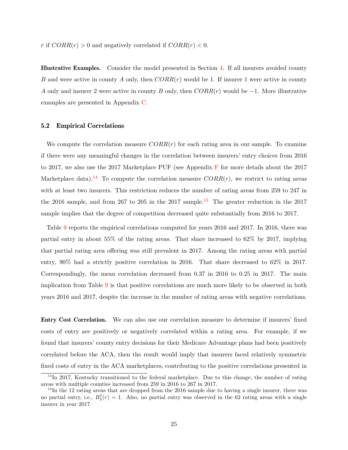*r* if  $CORR(r) > 0$  and negatively correlated if  $CORR(r) < 0$ .

Illustrative Examples. Consider the model presented in Section [4.](#page-17-0) If all insurers avoided county *B* and were active in county *A* only, then *CORR*(*r*) would be 1. If insurer 1 were active in county *A* only and insurer 2 were active in county *B* only, then *CORR*(*r*) would be −1. More illustrative examples are presented in Appendix [C.](#page-39-1)

### 5.2 Empirical Correlations

We compute the correlation measure  $CORR(r)$  for each rating area in our sample. To examine if there were any meaningful changes in the correlation between insurers' entry choices from 2016 to 2017, we also use the 2017 Marketplace PUF (see Appendix [F](#page-47-0) for more details about the 2017 Marketplace data).<sup>[14](#page-25-0)</sup> To compute the correlation measure  $CORR(r)$ , we restrict to rating areas with at least two insurers. This restriction reduces the number of rating areas from 259 to 247 in the 2016 sample, and from 267 to 205 in the 2017 sample.<sup>[15](#page-25-1)</sup> The greater reduction in the 2017 sample implies that the degree of competition decreased quite substantially from 2016 to 2017.

Table [9](#page-26-0) reports the empirical correlations computed for years 2016 and 2017. In 2016, there was partial entry in about 55% of the rating areas. That share increased to 62% by 2017, implying that partial rating area offering was still prevalent in 2017. Among the rating areas with partial entry, 90% had a strictly positive correlation in 2016. That share decreased to 62% in 2017. Correspondingly, the mean correlation decreased from 0.37 in 2016 to 0.25 in 2017. The main implication from Table [9](#page-26-0) is that positive correlations are much more likely to be observed in both years 2016 and 2017, despite the increase in the number of rating areas with negative correlations.

Entry Cost Correlation. We can also use our correlation measure to determine if insurers' fixed costs of entry are positively or negatively correlated within a rating area. For example, if we found that insurers' county entry decisions for their Medicare Advantage plans had been positively correlated before the ACA, then the result would imply that insurers faced relatively symmetric fixed costs of entry in the ACA marketplaces, contributing to the positive correlations presented in

<span id="page-25-0"></span> $14$ In 2017, Kentucky transitioned to the federal marketplace. Due to this change, the number of rating areas with multiple counties increased from 259 in 2016 to 267 in 2017.

<span id="page-25-1"></span><sup>&</sup>lt;sup>15</sup>In the 12 rating areas that are dropped from the 2016 sample due to having a single insurer, there was no partial entry, i.e.,  $B_3^I(r) = 1$ . Also, no partial entry was observed in the 62 rating areas with a single insurer in year 2017.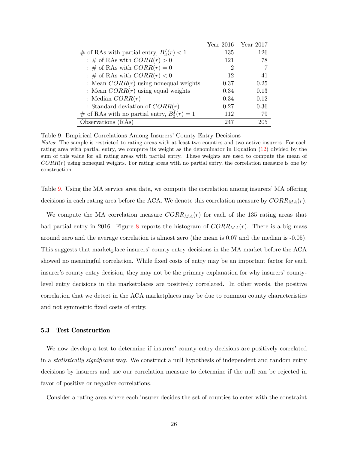<span id="page-26-0"></span>

|                                                | Year 2016 | Year 2017 |
|------------------------------------------------|-----------|-----------|
| # of RAs with partial entry, $B_3^1(r) < 1$    | 135       | 126       |
| : # of RAs with $CORR(r) > 0$                  | 121       | 78        |
| : # of RAs with $CORR(r) = 0$                  | 2         |           |
| : # of RAs with $CORR(r) < 0$                  | 12        | 41        |
| : Mean $CORR(r)$ using nonequal weights        | 0.37      | 0.25      |
| : Mean $CORR(r)$ using equal weights           | 0.34      | 0.13      |
| : Median $CORR(r)$                             | 0.34      | 0.12      |
| : Standard deviation of $CORR(r)$              | 0.27      | 0.36      |
| # of RAs with no partial entry, $B_3^I(r) = 1$ | 112       | 79        |
| Observations (RAs)                             | 247       | 205       |

Table 9: Empirical Correlations Among Insurers' County Entry Decisions *Notes*: The sample is restricted to rating areas with at least two counties and two active insurers. For each rating area with partial entry, we compute its weight as the denominator in Equation [\(12\)](#page-24-0) divided by the sum of this value for all rating areas with partial entry. These weights are used to compute the mean of *CORR*(*r*) using nonequal weights. For rating areas with no partial entry, the correlation measure is one by construction.

Table [9.](#page-26-0) Using the MA service area data, we compute the correlation among insurers' MA offering decisions in each rating area before the ACA. We denote this correlation measure by *CORRMA*(*r*).

We compute the MA correlation measure *CORRMA*(*r*) for each of the 135 rating areas that had partial entry in 2016. Figure [8](#page-27-0) reports the histogram of *CORRMA*(*r*). There is a big mass around zero and the average correlation is almost zero (the mean is 0.07 and the median is -0.05). This suggests that marketplace insurers' county entry decisions in the MA market before the ACA showed no meaningful correlation. While fixed costs of entry may be an important factor for each insurer's county entry decision, they may not be the primary explanation for why insurers' countylevel entry decisions in the marketplaces are positively correlated. In other words, the positive correlation that we detect in the ACA marketplaces may be due to common county characteristics and not symmetric fixed costs of entry.

#### 5.3 Test Construction

We now develop a test to determine if insurers' county entry decisions are positively correlated in a *statistically significant* way. We construct a null hypothesis of independent and random entry decisions by insurers and use our correlation measure to determine if the null can be rejected in favor of positive or negative correlations.

Consider a rating area where each insurer decides the set of counties to enter with the constraint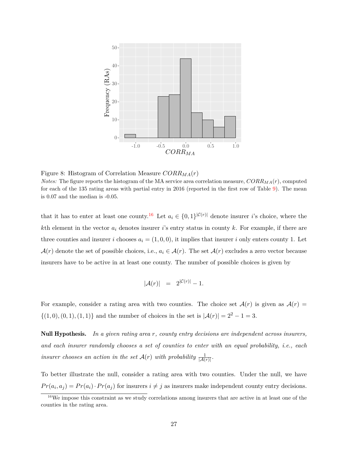<span id="page-27-0"></span>

Figure 8: Histogram of Correlation Measure *CORRMA*(*r*) *Notes:* The figure reports the histogram of the MA service area correlation measure, *CORRMA*(*r*), computed for each of the 135 rating areas with partial entry in 2016 (reported in the first row of Table [9\)](#page-26-0). The mean is 0.07 and the median is -0.05.

that it has to enter at least one county.<sup>[16](#page-27-1)</sup> Let  $a_i \in \{0,1\}^{|\mathcal{C}(r)|}$  denote insurer *i*'s choice, where the *k*th element in the vector *a<sup>i</sup>* denotes insurer *i*'s entry status in county *k*. For example, if there are three counties and insurer *i* chooses  $a_i = (1, 0, 0)$ , it implies that insurer *i* only enters county 1. Let  $\mathcal{A}(r)$  denote the set of possible choices, i.e.,  $a_i \in \mathcal{A}(r)$ . The set  $\mathcal{A}(r)$  excludes a zero vector because insurers have to be active in at least one county. The number of possible choices is given by

$$
|A(r)| = 2^{|C(r)|} - 1.
$$

For example, consider a rating area with two counties. The choice set  $\mathcal{A}(r)$  is given as  $\mathcal{A}(r)$  =  $\{(1,0), (0,1), (1,1)\}\$ and the number of choices in the set is  $|\mathcal{A}(r)| = 2^2 - 1 = 3$ .

Null Hypothesis. *In a given rating area r, county entry decisions are independent across insurers, and each insurer randomly chooses a set of counties to enter with an equal probability, i.e., each insurer chooses an action in the set*  $\mathcal{A}(r)$  *with probability*  $\frac{1}{|\mathcal{A}(r)|}$ .

To better illustrate the null, consider a rating area with two counties. Under the null, we have  $Pr(a_i, a_j) = Pr(a_i) \cdot Pr(a_j)$  for insurers  $i \neq j$  as insurers make independent county entry decisions.

<span id="page-27-1"></span><sup>&</sup>lt;sup>16</sup>We impose this constraint as we study correlations among insurers that are active in at least one of the counties in the rating area.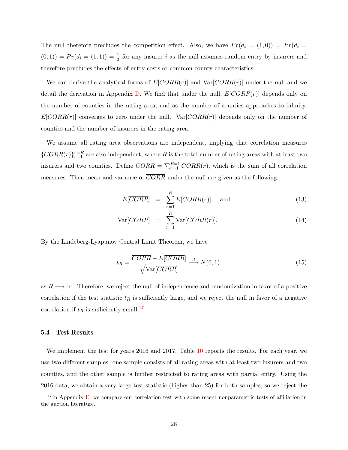The null therefore precludes the competition effect. Also, we have  $Pr(d_i = (1,0)) = Pr(d_i = 1)$  $(0,1)$  =  $Pr(d_i = (1,1)) = \frac{1}{3}$  for any insurer *i* as the null assumes random entry by insurers and therefore precludes the effects of entry costs or common county characteristics.

We can derive the analytical forms of  $E[CORR(r)]$  and  $Var[CORR(r)]$  under the null and we detail the derivation in Appendix [D.](#page-40-0) We find that under the null, *E*[*CORR*(*r*)] depends only on the number of counties in the rating area, and as the number of counties approaches to infinity,  $E[CORR(r)]$  converges to zero under the null.  $Var[CORR(r)]$  depends only on the number of counties and the number of insurers in the rating area.

We assume all rating area observations are independent, implying that correlation measures  ${CORR(r)}_{r=1}^{r=R}$  are also independent, where *R* is the total number of rating areas with at least two insurers and two counties. Define  $\overline{CORR} = \sum_{r=1}^{R=1} CORR(r)$ , which is the sum of all correlation measures. Then mean and variance of *CORR* under the null are given as the following:

$$
E[\overline{CORR}] = \sum_{r=1}^{R} E[CORR(r)], \text{ and } (13)
$$

$$
Var[\overline{CORR}] = \sum_{r=1}^{R} Var[CORR(r)]. \qquad (14)
$$

By the Lindeberg-Lyapunov Central Limit Theorem, we have

$$
t_R = \frac{\overline{CORR} - E[\overline{CORR}]}{\sqrt{\text{Var}[\overline{CORR}]} } \xrightarrow{d} N(0, 1)
$$
\n(15)

as  $R \longrightarrow \infty$ . Therefore, we reject the null of independence and randomization in favor of a positive correlation if the test statistic  $t_R$  is sufficiently large, and we reject the null in favor of a negative correlation if  $t_R$  is sufficiently small.<sup>[17](#page-28-0)</sup>

#### 5.4 Test Results

We implement the test for years 2016 and 2017. Table [10](#page-29-1) reports the results. For each year, we use two different samples: one sample consists of all rating areas with at least two insurers and two counties, and the other sample is further restricted to rating areas with partial entry. Using the 2016 data, we obtain a very large test statistic (higher than 25) for both samples, so we reject the

<span id="page-28-0"></span> $17$ In Appendix [E,](#page-46-0) we compare our correlation test with some recent nonparametric tests of affiliation in the auction literature.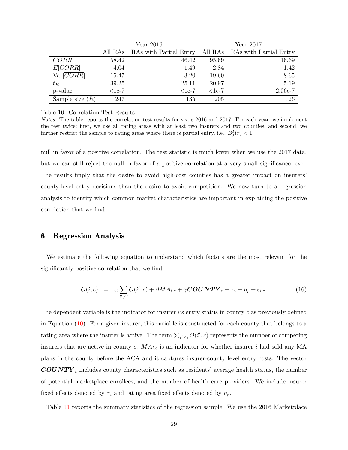<span id="page-29-1"></span>

|                    |          | Year $2016$            | $Year\ 2017$ |                        |  |  |
|--------------------|----------|------------------------|--------------|------------------------|--|--|
|                    | All RAs  | RAs with Partial Entry | All RAs      | RAs with Partial Entry |  |  |
| $\overline{CORR}$  | 158.42   | 46.42                  | 95.69        | 16.69                  |  |  |
| E[CORR]            | 4.04     | 1.49                   | 2.84         | 1.42                   |  |  |
| Var[ <i>CORR</i> ] | 15.47    | 3.20                   | 19.60        | 8.65                   |  |  |
| $t_R$              | 39.25    | 25.11                  | 20.97        | 5.19                   |  |  |
| p-value            | $<$ 1e-7 | $1e-7$                 | $<1e-7$      | $2.06e-7$              |  |  |
| Sample size $(R)$  | 247      | 135                    | 205          | 126                    |  |  |

Table 10: Correlation Test Results

*Notes*: The table reports the correlation test results for years 2016 and 2017. For each year, we implement the test twice; first, we use all rating areas with at least two insurers and two counties, and second, we further restrict the sample to rating areas where there is partial entry, i.e.,  $B_3^I(r) < 1$ .

null in favor of a positive correlation. The test statistic is much lower when we use the 2017 data, but we can still reject the null in favor of a positive correlation at a very small significance level. The results imply that the desire to avoid high-cost counties has a greater impact on insurers' county-level entry decisions than the desire to avoid competition. We now turn to a regression analysis to identify which common market characteristics are important in explaining the positive correlation that we find.

# <span id="page-29-0"></span>6 Regression Analysis

We estimate the following equation to understand which factors are the most relevant for the significantly positive correlation that we find:

<span id="page-29-2"></span>
$$
O(i,c) = \alpha \sum_{i' \neq i} O(i',c) + \beta MA_{i,c} + \gamma \textbf{COUNTY}_c + \tau_i + \eta_r + \epsilon_{i,c}.
$$
 (16)

The dependent variable is the indicator for insurer *i*'s entry status in county *c* as previously defined in Equation [\(10\)](#page-24-1). For a given insurer, this variable is constructed for each county that belongs to a rating area where the insurer is active. The term  $\sum_{i' \neq i} O(i', c)$  represents the number of competing insurers that are active in county *c*.  $MA_{i,c}$  is an indicator for whether insurer *i* had sold any MA plans in the county before the ACA and it captures insurer-county level entry costs. The vector *COUNT Y <sup>c</sup>* includes county characteristics such as residents' average health status, the number of potential marketplace enrollees, and the number of health care providers. We include insurer fixed effects denoted by  $\tau_i$  and rating area fixed effects denoted by  $\eta_r$ .

Table [11](#page-31-0) reports the summary statistics of the regression sample. We use the 2016 Marketplace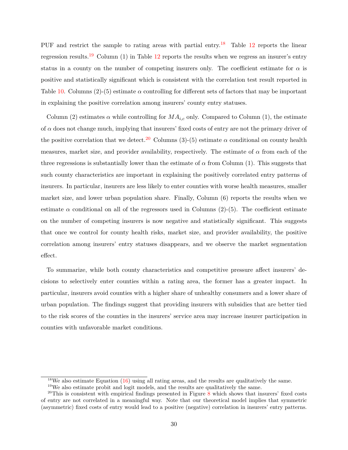PUF and restrict the sample to rating areas with partial entry.<sup>[18](#page-30-0)</sup> Table  $12$  reports the linear regression results.<sup>[19](#page-30-1)</sup> Column (1) in Table  $12$  reports the results when we regress an insurer's entry status in a county on the number of competing insurers only. The coefficient estimate for  $\alpha$  is positive and statistically significant which is consistent with the correlation test result reported in Table [10.](#page-29-1) Columns (2)-(5) estimate *α* controlling for different sets of factors that may be important in explaining the positive correlation among insurers' county entry statuses.

Column (2) estimates  $\alpha$  while controlling for  $MA_{i,c}$  only. Compared to Column (1), the estimate of  $\alpha$  does not change much, implying that insurers' fixed costs of entry are not the primary driver of the positive correlation that we detect.<sup>[20](#page-30-2)</sup> Columns (3)-(5) estimate  $\alpha$  conditional on county health measures, market size, and provider availability, respectively. The estimate of  $\alpha$  from each of the three regressions is substantially lower than the estimate of  $\alpha$  from Column (1). This suggests that such county characteristics are important in explaining the positively correlated entry patterns of insurers. In particular, insurers are less likely to enter counties with worse health measures, smaller market size, and lower urban population share. Finally, Column (6) reports the results when we estimate  $\alpha$  conditional on all of the regressors used in Columns (2)-(5). The coefficient estimate on the number of competing insurers is now negative and statistically significant. This suggests that once we control for county health risks, market size, and provider availability, the positive correlation among insurers' entry statuses disappears, and we observe the market segmentation effect.

To summarize, while both county characteristics and competitive pressure affect insurers' decisions to selectively enter counties within a rating area, the former has a greater impact. In particular, insurers avoid counties with a higher share of unhealthy consumers and a lower share of urban population. The findings suggest that providing insurers with subsidies that are better tied to the risk scores of the counties in the insurers' service area may increase insurer participation in counties with unfavorable market conditions.

<span id="page-30-0"></span><sup>&</sup>lt;sup>18</sup>We also estimate Equation  $(16)$  using all rating areas, and the results are qualitatively the same.

<span id="page-30-2"></span><span id="page-30-1"></span> $19\,\text{We also estimate probit and logit models, and the results are qualitatively the same.}$ 

 $20$ This is consistent with empirical findings presented in Figure [8](#page-27-0) which shows that insurers' fixed costs of entry are not correlated in a meaningful way. Note that our theoretical model implies that symmetric (asymmetric) fixed costs of entry would lead to a positive (negative) correlation in insurers' entry patterns.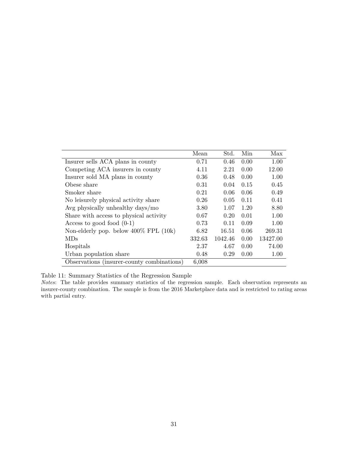<span id="page-31-0"></span>

|                                            | Mean   | Std.    | Min  | Max      |
|--------------------------------------------|--------|---------|------|----------|
| Insurer sells ACA plans in county          | 0.71   | 0.46    | 0.00 | 1.00     |
| Competing ACA insurers in county           | 4.11   | 2.21    | 0.00 | 12.00    |
| Insurer sold MA plans in county            | 0.36   | 0.48    | 0.00 | 1.00     |
| Obese share                                | 0.31   | 0.04    | 0.15 | 0.45     |
| Smoker share                               | 0.21   | 0.06    | 0.06 | 0.49     |
| No leisurely physical activity share       | 0.26   | 0.05    | 0.11 | 0.41     |
| Avg physically unhealthy days/mo           | 3.80   | 1.07    | 1.20 | 8.80     |
| Share with access to physical activity     | 0.67   | 0.20    | 0.01 | 1.00     |
| Access to good food $(0-1)$                | 0.73   | 0.11    | 0.09 | 1.00     |
| Non-elderly pop. below $400\%$ FPL $(10k)$ | 6.82   | 16.51   | 0.06 | 269.31   |
| MDs                                        | 332.63 | 1042.46 | 0.00 | 13427.00 |
| Hospitals                                  | 2.37   | 4.67    | 0.00 | 74.00    |
| Urban population share                     | 0.48   | 0.29    | 0.00 | 1.00     |
| Observations (insurer-county combinations) | 6,008  |         |      |          |

Table 11: Summary Statistics of the Regression Sample

*Notes*: The table provides summary statistics of the regression sample. Each observation represents an insurer-county combination. The sample is from the 2016 Marketplace data and is restricted to rating areas with partial entry.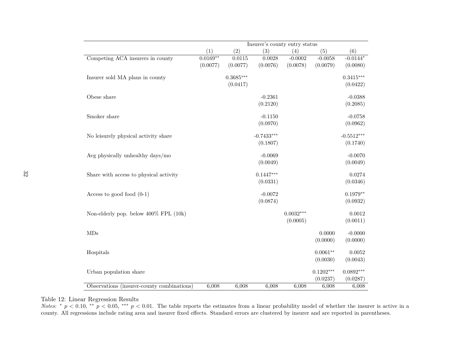<span id="page-32-0"></span>

|                                            |            |             | Insurer's county entry status |             |             |                        |
|--------------------------------------------|------------|-------------|-------------------------------|-------------|-------------|------------------------|
|                                            | (1)        | (2)         | (3)                           | (4)         | (5)         | (6)                    |
| Competing ACA insurers in county           | $0.0169**$ | 0.0115      | 0.0028                        | $-0.0002$   | $-0.0058$   | $-0.014\overline{4^*}$ |
|                                            | (0.0077)   | (0.0077)    | (0.0076)                      | (0.0078)    | (0.0079)    | (0.0080)               |
| Insurer sold MA plans in county            |            | $0.3685***$ |                               |             |             | $0.3415***$            |
|                                            |            | (0.0417)    |                               |             |             | (0.0422)               |
| Obese share                                |            |             | $-0.2361$                     |             |             | $-0.0388$              |
|                                            |            |             | (0.2120)                      |             |             | (0.2085)               |
| Smoker share                               |            |             | $-0.1150$                     |             |             | $-0.0758$              |
|                                            |            |             | (0.0970)                      |             |             | (0.0962)               |
| No leisurely physical activity share       |            |             | $-0.7433***$                  |             |             | $-0.5512***$           |
|                                            |            |             | (0.1807)                      |             |             | (0.1740)               |
| Avg physically unhealthy days/mo           |            |             | $-0.0069$                     |             |             | $-0.0070$              |
|                                            |            |             | (0.0049)                      |             |             | (0.0049)               |
| Share with access to physical activity     |            |             | $0.1447***$                   |             |             | 0.0274                 |
|                                            |            |             | (0.0331)                      |             |             | (0.0346)               |
| Access to good food $(0-1)$                |            |             | $-0.0072$                     |             |             | $0.1979**$             |
|                                            |            |             | (0.0874)                      |             |             | (0.0932)               |
| Non-elderly pop. below 400% FPL (10k)      |            |             |                               | $0.0032***$ |             | 0.0012                 |
|                                            |            |             |                               | (0.0005)    |             | (0.0011)               |
| MDs                                        |            |             |                               |             | 0.0000      | $-0.0000$              |
|                                            |            |             |                               |             | (0.0000)    | (0.0000)               |
| Hospitals                                  |            |             |                               |             | $0.0061**$  | 0.0052                 |
|                                            |            |             |                               |             | (0.0030)    | (0.0043)               |
| Urban population share                     |            |             |                               |             | $0.1202***$ | $0.0892***$            |
|                                            |            |             |                               |             | (0.0237)    | (0.0287)               |
| Observations (insurer-county combinations) | 6,008      | 6,008       | 6,008                         | 6,008       | 6,008       | 6,008                  |

# Table 12: Linear Regression Results

*Notes:*  $p < 0.10$ ,  $\alpha^* p < 0.05$ ,  $\alpha^* p < 0.01$ . The table reports the estimates from a linear probability model of whether the insurer is active in a county. All regressions include rating area and insurer fixed effects. Standard errors are clustered by insurer and are reported in parentheses.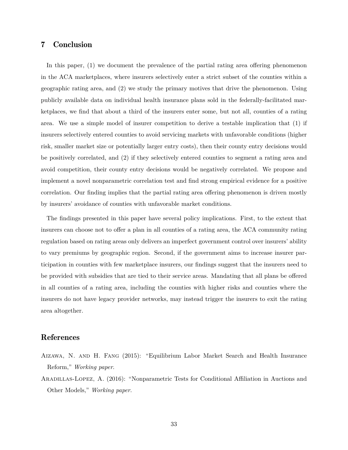# <span id="page-33-1"></span>7 Conclusion

In this paper, (1) we document the prevalence of the partial rating area offering phenomenon in the ACA marketplaces, where insurers selectively enter a strict subset of the counties within a geographic rating area, and (2) we study the primary motives that drive the phenomenon. Using publicly available data on individual health insurance plans sold in the federally-facilitated marketplaces, we find that about a third of the insurers enter some, but not all, counties of a rating area. We use a simple model of insurer competition to derive a testable implication that (1) if insurers selectively entered counties to avoid servicing markets with unfavorable conditions (higher risk, smaller market size or potentially larger entry costs), then their county entry decisions would be positively correlated, and (2) if they selectively entered counties to segment a rating area and avoid competition, their county entry decisions would be negatively correlated. We propose and implement a novel nonparametric correlation test and find strong empirical evidence for a positive correlation. Our finding implies that the partial rating area offering phenomenon is driven mostly by insurers' avoidance of counties with unfavorable market conditions.

The findings presented in this paper have several policy implications. First, to the extent that insurers can choose not to offer a plan in all counties of a rating area, the ACA community rating regulation based on rating areas only delivers an imperfect government control over insurers' ability to vary premiums by geographic region. Second, if the government aims to increase insurer participation in counties with few marketplace insurers, our findings suggest that the insurers need to be provided with subsidies that are tied to their service areas. Mandating that all plans be offered in all counties of a rating area, including the counties with higher risks and counties where the insurers do not have legacy provider networks, may instead trigger the insurers to exit the rating area altogether.

# References

- <span id="page-33-0"></span>Aizawa, N. and H. Fang (2015): "Equilibrium Labor Market Search and Health Insurance Reform," *Working paper*.
- <span id="page-33-2"></span>Aradillas-Lopez, A. (2016): "Nonparametric Tests for Conditional Affiliation in Auctions and Other Models," *Working paper*.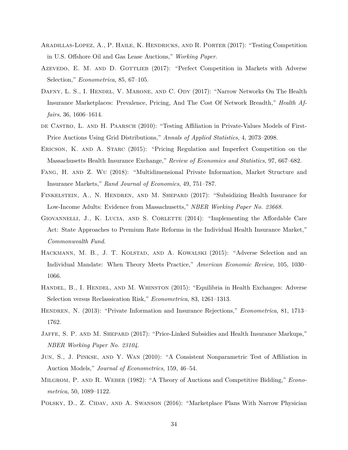- <span id="page-34-14"></span>Aradillas-Lopez, A., P. Haile, K. Hendricks, and R. Porter (2017): "Testing Competition in U.S. Offshore Oil and Gas Lease Auctions," *Working Paper*.
- <span id="page-34-7"></span>AZEVEDO, E. M. AND D. GOTTLIEB (2017): "Perfect Competition in Markets with Adverse Selection," *Econometrica*, 85, 67–105.
- <span id="page-34-4"></span>DAFNY, L. S., I. HENDEL, V. MARONE, AND C. ODY (2017): "Narrow Networks On The Health Insurance Marketplaces: Prevalence, Pricing, And The Cost Of Network Breadth," *Health Affairs*, 36, 1606–1614.
- <span id="page-34-12"></span>DE CASTRO, L. AND H. PAARSCH (2010): "Testing Affiliation in Private-Values Models of First-Price Auctions Using Grid Distributions," *Annals of Applied Statistics*, 4, 2073–2098.
- <span id="page-34-0"></span>ERICSON, K. AND A. STARC (2015): "Pricing Regulation and Imperfect Competition on the Massachusetts Health Insurance Exchange," *Review of Economics and Statistics*, 97, 667–682.
- <span id="page-34-10"></span>Fang, H. and Z. Wu (2018): "Multidimensional Private Information, Market Structure and Insurance Markets," *Rand Journal of Economics*, 49, 751–787.
- <span id="page-34-2"></span>FINKELSTEIN, A., N. HENDREN, AND M. SHEPARD (2017): "Subsidizing Health Insurance for Low-Income Adults: Evidence from Massachusetts," *NBER Working Paper No. 23668*.
- <span id="page-34-8"></span>GIOVANNELLI, J., K. LUCIA, AND S. CORLETTE (2014): "Implementing the Affordable Care Act: State Approaches to Premium Rate Reforms in the Individual Health Insurance Market," *Commonwealth Fund*.
- <span id="page-34-1"></span>HACKMANN, M. B., J. T. KOLSTAD, AND A. KOWALSKI (2015): "Adverse Selection and an Individual Mandate: When Theory Meets Practice," *American Economic Review*, 105, 1030– 1066.
- <span id="page-34-6"></span>Handel, B., I. Hendel, and M. Whinston (2015): "Equilibria in Health Exchanges: Adverse Selection versus Reclassication Risk," *Econometrica*, 83, 1261–1313.
- <span id="page-34-9"></span>Hendren, N. (2013): "Private Information and Insurance Rejections," *Econometrica*, 81, 1713– 1762.
- <span id="page-34-3"></span>JAFFE, S. P. AND M. SHEPARD (2017): "Price-Linked Subsidies and Health Insurance Markups," *NBER Working Paper No. 23104*.
- <span id="page-34-13"></span>Jun, S., J. Pinkse, and Y. Wan (2010): "A Consistent Nonparametric Test of Affiliation in Auction Models," *Journal of Econometrics*, 159, 46–54.
- <span id="page-34-11"></span>Milgrom, P. and R. Weber (1982): "A Theory of Auctions and Competitive Bidding," *Econometrica*, 50, 1089–1122.
- <span id="page-34-5"></span>POLSKY, D., Z. CIDAV, AND A. SWANSON (2016): "Marketplace Plans With Narrow Physician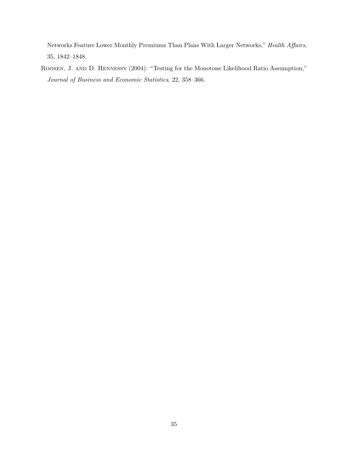Networks Feature Lower Monthly Premiums Than Plans With Larger Networks," *Health Affairs*, 35, 1842–1848.

<span id="page-35-0"></span>Roosen, J. and D. Hennessy (2004): "Testing for the Monotone Likelihood Ratio Assumption," *Journal of Business and Economic Statistics*, 22, 358–366.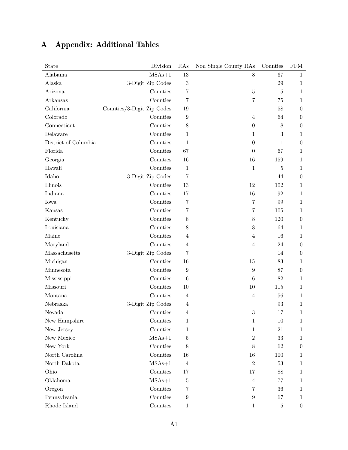<span id="page-36-0"></span>

| State                | Division                   | RAs              | Non Single County RAs | Counties | <b>FFM</b>       |
|----------------------|----------------------------|------------------|-----------------------|----------|------------------|
| Alabama              | $MSAs+1$                   | $13\,$           | $8\,$                 | 67       | $\mathbf{1}$     |
| Alaska               | 3-Digit Zip Codes          | 3                |                       | 29       | $\mathbf{1}$     |
| Arizona              | Counties                   | 7                | $\bf 5$               | 15       | $\mathbf{1}$     |
| Arkansas             | Counties                   | 7                | $\overline{7}$        | 75       | $\mathbf{1}$     |
| California           | Counties/3-Digit Zip Codes | 19               |                       | 58       | $\boldsymbol{0}$ |
| Colorado             | Counties                   | 9                | $\overline{4}$        | 64       | $\theta$         |
| Connecticut          | Counties                   | $8\,$            | $\boldsymbol{0}$      | $8\,$    | $\boldsymbol{0}$ |
| Delaware             | Counties                   | 1                | 1                     | 3        | 1                |
| District of Columbia | Counties                   | $\mathbf{1}$     | $\boldsymbol{0}$      | 1        | $\theta$         |
| Florida              | Counties                   | 67               | $\theta$              | 67       | $\mathbf{1}$     |
| Georgia              | Counties                   | 16               | 16                    | 159      | $\mathbf 1$      |
| Hawaii               | Counties                   | 1                | $\mathbf{1}$          | 5        | 1                |
| Idaho                | 3-Digit Zip Codes          | $\overline{7}$   |                       | 44       | $\boldsymbol{0}$ |
| Illinois             | Counties                   | $13\,$           | 12                    | 102      | $\mathbf{1}$     |
| Indiana              | Counties                   | 17               | 16                    | 92       | $\mathbf{1}$     |
| Iowa                 | Counties                   | 7                | 7                     | 99       | 1                |
| Kansas               | Counties                   | $\!\!7$          | $\overline{7}$        | 105      | 1                |
| Kentucky             | Counties                   | $8\,$            | $8\,$                 | 120      | $\theta$         |
| Louisiana            | Counties                   | 8                | 8                     | 64       | $\mathbf 1$      |
| Maine                | Counties                   | $\overline{4}$   | 4                     | 16       | 1                |
| Maryland             | Counties                   | $\overline{4}$   | 4                     | 24       | $\boldsymbol{0}$ |
| Massachusetts        | 3-Digit Zip Codes          | 7                |                       | 14       | $\boldsymbol{0}$ |
| Michigan             | Counties                   | 16               | 15                    | 83       | $\mathbf 1$      |
| Minnesota            | Counties                   | 9                | 9                     | 87       | $\theta$         |
| Mississippi          | Counties                   | $6\phantom{.}6$  | 6                     | 82       | $\mathbf{1}$     |
| Missouri             | Counties                   | 10               | 10                    | 115      | 1                |
| Montana              | Counties                   | $\overline{4}$   | $\overline{4}$        | 56       | $\mathbf 1$      |
| Nebraska             | 3-Digit Zip Codes          | 4                |                       | 93       | $\mathbf{1}$     |
| Nevada               | Counties                   | $\overline{4}$   | $\sqrt{3}$            | 17       | $\mathbf{1}$     |
| New Hampshire        | Counties                   | 1                | $1\,$                 | $10\,$   | $\mathbf{1}$     |
| New Jersey           | Counties                   | $\mathbf 1$      | $\mathbf 1$           | $21\,$   | $\mathbf{1}$     |
| New Mexico           | $MSAs+1$                   | $\overline{5}$   | $\overline{2}$        | $33\,$   | $\mathbf{1}$     |
| New York             | Counties                   | 8                | 8                     | 62       | $\boldsymbol{0}$ |
| North Carolina       | Counties                   | 16               | 16                    | 100      | $\mathbf{1}$     |
| North Dakota         | $MSAs+1$                   | $\overline{4}$   | $\overline{2}$        | $53\,$   | $\mathbf{1}$     |
| Ohio                 | Counties                   | 17               | 17                    | 88       | $\mathbf{1}$     |
| Oklahoma             | $MSAs+1$                   | $\bf 5$          | $\overline{4}$        | $77\,$   | $\mathbf{1}$     |
| Oregon               | Counties                   | 7                | 7                     | $36\,$   | $\mathbf{1}$     |
| Pennsylvania         | Counties                   | $\boldsymbol{9}$ | $\boldsymbol{9}$      | 67       | $\mathbf{1}$     |
| Rhode Island         | Counties                   | 1                | $\mathbf{1}$          | $\bf 5$  | $\boldsymbol{0}$ |

# <span id="page-36-1"></span>A Appendix: Additional Tables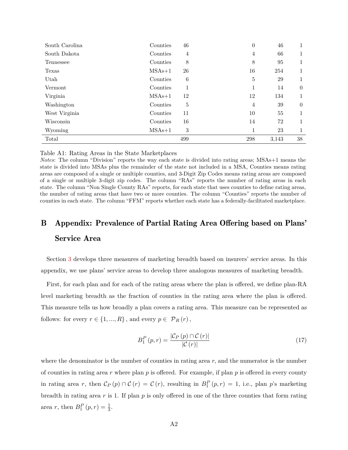| South Carolina | Counties | 46  | $\boldsymbol{0}$ | 46    |          |
|----------------|----------|-----|------------------|-------|----------|
| South Dakota   | Counties | 4   | 4                | 66    |          |
| Tennessee      | Counties | 8   | 8                | 95    | 1        |
| Texas          | $MSAs+1$ | 26  | 16               | 254   | 1        |
| Utah           | Counties | 6   | $\bf 5$          | 29    |          |
| Vermont        | Counties |     | 1                | 14    | $\theta$ |
| Virginia       | $MSAs+1$ | 12  | 12               | 134   | 1        |
| Washington     | Counties | 5   | $\overline{4}$   | 39    | $\theta$ |
| West Virginia  | Counties | 11  | 10               | 55    | 1        |
| Wisconsin      | Counties | 16  | 14               | 72    | 1        |
| Wyoming        | $MSAs+1$ | 3   | $\mathbf 1$      | 23    | 1        |
| Total          |          | 499 | 298              | 3,143 | 38       |

Table A1: Rating Areas in the State Marketplaces

*Notes*: The column "Division" reports the way each state is divided into rating areas; MSAs+1 means the state is divided into MSAs plus the remainder of the state not included in a MSA, Counties means rating areas are composed of a single or multiple counties, and 3-Digit Zip Codes means rating areas are composed of a single or multiple 3-digit zip codes. The column "RAs" reports the number of rating areas in each state. The column "Non Single County RAs" reports, for each state that uses counties to define rating areas, the number of rating areas that have two or more counties. The column "Counties" reports the number of counties in each state. The column "FFM" reports whether each state has a federally-facilitated marketplace.

# <span id="page-37-0"></span>B Appendix: Prevalence of Partial Rating Area Offering based on Plans' Service Area

Section [3](#page-9-0) develops three measures of marketing breadth based on insurers' service areas. In this appendix, we use plans' service areas to develop three analogous measures of marketing breadth.

First, for each plan and for each of the rating areas where the plan is offered, we define plan-RA level marketing breadth as the fraction of counties in the rating area where the plan is offered. This measure tells us how broadly a plan covers a rating area. This measure can be represented as follows: for every  $r \in \{1, ..., R\}$ , and every  $p \in \mathcal{P}_R(r)$ ,

$$
B_1^P(p,r) = \frac{|\mathcal{C}_P(p) \cap \mathcal{C}(r)|}{|\mathcal{C}(r)|} \tag{17}
$$

where the denominator is the number of counties in rating area  $r$ , and the numerator is the number of counties in rating area *r* where plan *p* is offered. For example, if plan *p* is offered in every county in rating area *r*, then  $\mathcal{C}_P(p) \cap \mathcal{C}(r) = \mathcal{C}(r)$ , resulting in  $B_1^P(p,r) = 1$ , i.e., plan *p*'s marketing breadth in rating area *r* is 1. If plan *p* is only offered in one of the three counties that form rating area *r*, then  $B_1^P(p,r) = \frac{1}{3}$ .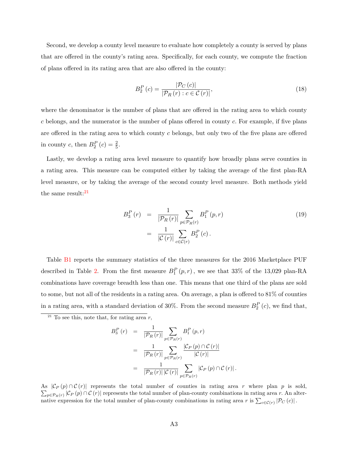Second, we develop a county level measure to evaluate how completely a county is served by plans that are offered in the county's rating area. Specifically, for each county, we compute the fraction of plans offered in its rating area that are also offered in the county:

$$
B_2^P(c) = \frac{|\mathcal{P}_C(c)|}{|\mathcal{P}_R(r) : c \in \mathcal{C}(r)|},\tag{18}
$$

where the denominator is the number of plans that are offered in the rating area to which county *c* belongs, and the numerator is the number of plans offered in county *c.* For example, if five plans are offered in the rating area to which county *c* belongs, but only two of the five plans are offered in county *c*, then  $B_2^P(c) = \frac{2}{5}$ .

Lastly, we develop a rating area level measure to quantify how broadly plans serve counties in a rating area. This measure can be computed either by taking the average of the first plan-RA level measure, or by taking the average of the second county level measure. Both methods yield the same result: $21$ 

$$
B_3^P(r) = \frac{1}{|\mathcal{P}_R(r)|} \sum_{p \in \mathcal{P}_R(r)} B_1^P(p, r)
$$
  
= 
$$
\frac{1}{|\mathcal{C}(r)|} \sum_{c \in \mathcal{C}(r)} B_2^P(c).
$$
 (19)

Table [B1](#page-39-0) reports the summary statistics of the three measures for the 2016 Marketplace PUF described in Table [2.](#page-7-1) From the first measure  $B_1^P(p,r)$ , we see that 33% of the 13,029 plan-RA combinations have coverage breadth less than one. This means that one third of the plans are sold to some, but not all of the residents in a rating area. On average, a plan is offered to 81% of counties in a rating area, with a standard deviation of 30%. From the second measure  $B_2^P(c)$ , we find that,

$$
B_3^P(r) = \frac{1}{|\mathcal{P}_R(r)|} \sum_{p \in \mathcal{P}_R(r)} B_1^P(p,r)
$$
  
= 
$$
\frac{1}{|\mathcal{P}_R(r)|} \sum_{p \in \mathcal{P}_R(r)} \frac{|\mathcal{C}_P(p) \cap \mathcal{C}(r)|}{|\mathcal{C}(r)|}
$$
  
= 
$$
\frac{1}{|\mathcal{P}_R(r)| |\mathcal{C}(r)|} \sum_{p \in \mathcal{P}_R(r)} |\mathcal{C}_P(p) \cap \mathcal{C}(r)|.
$$

As  $|\mathcal{C}_P(p) \cap \mathcal{C}(r)|$  represents the total number of counties in rating area r where plan p is sold,  $\sum_{p \in \mathcal{P}_R(r)} |\mathcal{C}_P(p) \cap \mathcal{C}(r)|$  represents the total number of plan-county combinations in rating area r. An alternative expression for the total number of plan-county combinations in rating area *r* is  $\sum_{c \in \mathcal{C}(r)} |\mathcal{P}_C(c)|$ .

<span id="page-38-0"></span><sup>21</sup> To see this, note that, for rating area *r,*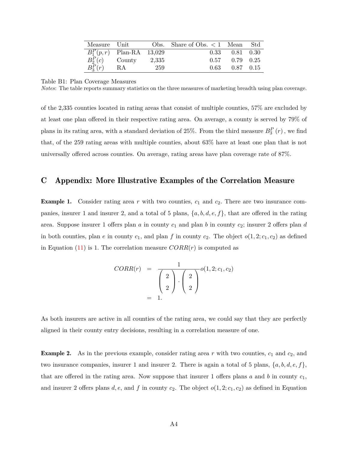| Measure Unit |                             |     | Obs. Share of Obs. $\lt 1$ Mean Std |                                |  |
|--------------|-----------------------------|-----|-------------------------------------|--------------------------------|--|
|              | $B_1^P(p,r)$ Plan-RA 13,029 |     |                                     | $0.33 \qquad 0.81 \qquad 0.30$ |  |
| $B_2^P(c)$   | County $2,335$              |     | 0.57                                | $0.79 \quad 0.25$              |  |
| $B_3^P(r)$   | - RA                        | 259 |                                     | $0.63$ $0.87$ $0.15$           |  |

#### <span id="page-39-0"></span>Table B1: Plan Coverage Measures

*Notes*: The table reports summary statistics on the three measures of marketing breadth using plan coverage.

of the 2,335 counties located in rating areas that consist of multiple counties, 57% are excluded by at least one plan offered in their respective rating area. On average, a county is served by 79% of plans in its rating area, with a standard deviation of 25%. From the third measure  $B_3^P(r)$ , we find that, of the 259 rating areas with multiple counties, about 63% have at least one plan that is not universally offered across counties. On average, rating areas have plan coverage rate of 87%.

# <span id="page-39-1"></span>C Appendix: More Illustrative Examples of the Correlation Measure

**Example 1.** Consider rating area r with two counties,  $c_1$  and  $c_2$ . There are two insurance companies, insurer 1 and insurer 2, and a total of 5 plans,  $\{a, b, d, e, f\}$ , that are offered in the rating area. Suppose insurer 1 offers plan  $a$  in county  $c_1$  and plan  $b$  in county  $c_2$ ; insurer 2 offers plan  $d$ in both counties, plan *e* in county  $c_1$ , and plan *f* in county  $c_2$ . The object  $o(1, 2; c_1, c_2)$  as defined in Equation [\(11\)](#page-24-2) is 1. The correlation measure  $CORR(r)$  is computed as

$$
CORR(r) = \frac{1}{\begin{pmatrix} 2 \\ 2 \end{pmatrix} \cdot \begin{pmatrix} 2 \\ 2 \end{pmatrix}} o(1,2; c_1, c_2)
$$
  
= 1.

As both insurers are active in all counties of the rating area, we could say that they are perfectly aligned in their county entry decisions, resulting in a correlation measure of one.

**Example 2.** As in the previous example, consider rating area  $r$  with two counties,  $c_1$  and  $c_2$ , and two insurance companies, insurer 1 and insurer 2. There is again a total of 5 plans,  $\{a, b, d, e, f\}$ , that are offered in the rating area. Now suppose that insurer 1 offers plans  $a$  and  $b$  in county  $c_1$ , and insurer 2 offers plans  $d, e$ , and  $f$  in county  $c_2$ . The object  $o(1, 2; c_1, c_2)$  as defined in Equation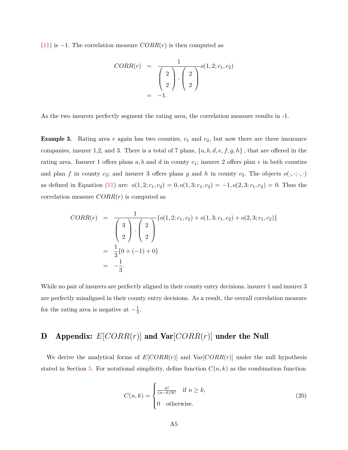[\(11\)](#page-24-2) is −1*.* The correlation measure *CORR*(*r*) is then computed as

$$
CORR(r) = \frac{1}{\begin{pmatrix} 2 \\ 2 \end{pmatrix} \cdot \begin{pmatrix} 2 \\ 2 \end{pmatrix}} o(1,2; c_1, c_2)
$$
  
= -1.

As the two insurers perfectly segment the rating area, the correlation measure results in -1.

**Example 3.** Rating area r again has two counties,  $c_1$  and  $c_2$ , but now there are three insurance companies, insurer 1,2, and 3. There is a total of 7 plans, {*a, b, d, e, f, g, h*} *,* that are offered in the rating area. Insurer 1 offers plans *a, b* and *d* in county *c*1; insurer 2 offers plan *e* in both counties and plan *f* in county  $c_2$ ; and insurer 3 offers plans *g* and *h* in county  $c_2$ . The objects  $o(\cdot, \cdot; \cdot, \cdot)$ as defined in Equation [\(11\)](#page-24-2) are:  $o(1, 2; c_1, c_2) = 0, o(1, 3; c_1, c_2) = -1, o(2, 3; c_1, c_2) = 0$ . Thus the correlation measure *CORR*(*r*) is computed as

$$
CORR(r) = \frac{1}{\begin{pmatrix} 3 \\ 2 \end{pmatrix} \cdot \begin{pmatrix} 2 \\ 2 \end{pmatrix}} \{o(1, 2; c_1, c_2) + o(1, 3; c_1, c_2) + o(2, 3; c_1, c_2)\}
$$
  
=  $\frac{1}{3} \{0 + (-1) + 0\}$   
=  $-\frac{1}{3}$ .

While no pair of insurers are perfectly aligned in their county entry decisions, insurer 1 and insurer 3 are perfectly misaligned in their county entry decisions. As a result, the overall correlation measure for the rating area is negative at  $-\frac{1}{3}$  $\frac{1}{3}$ .

# <span id="page-40-0"></span>D Appendix: *E*[*CORR*(*r*)] and Var[*CORR*(*r*)] under the Null

We derive the analytical forms of  $E[CORR(r)]$  and  $Var[CORR(r)]$  under the null hypothesis stated in Section [5.](#page-23-0) For notational simplicity, define function  $C(n, k)$  as the combination function

<span id="page-40-1"></span>
$$
C(n,k) = \begin{cases} \frac{n!}{(n-k)!k!} & \text{if } n \ge k, \\ 0 & \text{otherwise.} \end{cases}
$$
 (20)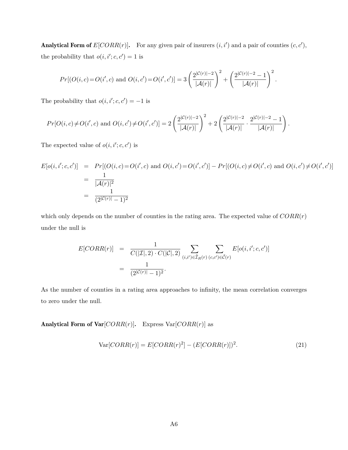Analytical Form of  $E[CORR(r)]$ . For any given pair of insurers  $(i, i')$  and a pair of counties  $(c, c')$ , the probability that  $o(i, i'; c, c') = 1$  is

$$
Pr[(O(i, c) = O(i', c) \text{ and } O(i, c') = O(i', c')] = 3\left(\frac{2^{|C(r)|-2}}{|\mathcal{A}(r)|}\right)^2 + \left(\frac{2^{|C(r)|-2}-1}{|\mathcal{A}(r)|}\right)^2.
$$

The probability that  $o(i, i'; c, c') = -1$  is

$$
Pr[O(i, c) \neq O(i', c) \text{ and } O(i, c') \neq O(i', c')] = 2\left(\frac{2^{|C(r)| - 2}}{|\mathcal{A}(r)|}\right)^2 + 2\left(\frac{2^{|C(r)| - 2}}{|\mathcal{A}(r)|} \cdot \frac{2^{|C(r)| - 2} - 1}{|\mathcal{A}(r)|}\right)
$$

The expected value of  $o(i, i'; c, c')$  is

$$
E[o(i, i'; c, c')] = Pr[(O(i, c) = O(i', c) \text{ and } O(i, c') = O(i', c')] - Pr[(O(i, c) \neq O(i', c) \text{ and } O(i, c') \neq O(i', c')] = \frac{1}{|\mathcal{A}(r)|^2} = \frac{1}{(2^{|\mathcal{C}(r)|} - 1)^2}
$$

*.*

which only depends on the number of counties in the rating area. The expected value of *CORR*(*r*) under the null is

$$
E[CORR(r)] = \frac{1}{C(|\mathcal{I}|, 2) \cdot C(|\mathcal{C}|, 2)} \sum_{(i,i') \in \tilde{\mathcal{I}}_R(r)} \sum_{(c,c') \in \tilde{\mathcal{C}}(r)} E[o(i, i'; c, c')] = \frac{1}{(2^{|\mathcal{C}(r)|} - 1)^2}.
$$

As the number of counties in a rating area approaches to infinity, the mean correlation converges to zero under the null.

Analytical Form of  $Var[CORR(r)]$ . Express  $Var[CORR(r)]$  as

$$
Var[CORR(r)] = E[CORR(r)2] - (E[CORR(r)])2.
$$
\n(21)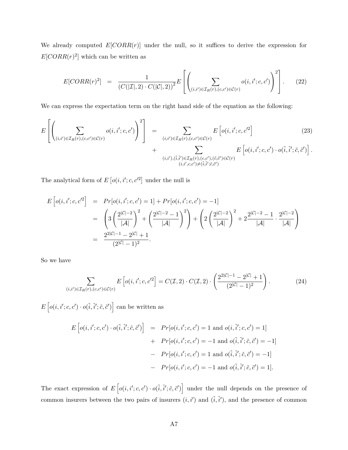We already computed  $E[CORR(r)]$  under the null, so it suffices to derive the expression for  $E[CORR(r)<sup>2</sup>]$  which can be written as

$$
E[CORR(r)^{2}] = \frac{1}{(C(|\mathcal{I}|, 2) \cdot C(|\mathcal{C}|, 2))^{2}} E\left[\left(\sum_{(i,i') \in \mathcal{I}_{R}(r), (c,c') \in \mathcal{C}(r)} o(i,i'; c, c')\right)^{2}\right].
$$
 (22)

We can express the expectation term on the right hand side of the equation as the following:

$$
E\left[\left(\sum_{(i,i')\in\mathcal{I}_R(r),(c,c')\in\mathcal{C}(r)}o(i,i';c,c')\right)^2\right] = \sum_{(i,i')\in\mathcal{I}_R(r),(c,c')\in\mathcal{C}(r)}E\left[o(i,i';c,c'^2\right] + \sum_{(i,i'),(\tilde{i},\tilde{i}')\in\mathcal{I}_R(r),(c,c'),(\tilde{c},\tilde{c}')\in\mathcal{C}(r)}E\left[o(i,i';c,c')\cdot o(\tilde{i},\tilde{i}';\tilde{c},\tilde{c}')\right].
$$
\n(23)

The analytical form of  $E\left[o(i, i'; c, c'^2\right]$  under the null is

$$
E\left[o(i, i'; c, c'^2\right] = Pr[o(i, i'; c, c') = 1] + Pr[o(i, i'; c, c') = -1]
$$
  
= 
$$
\left(3\left(\frac{2^{|C|-2}}{|A|}\right)^2 + \left(\frac{2^{|C|-2}-1}{|A|}\right)^2\right) + \left(2\left(\frac{2^{|C|-2}}{|A|}\right)^2 + 2\frac{2^{|C|-2}-1}{|A|} \cdot \frac{2^{|C|-2}}{|A|}\right)
$$
  
= 
$$
\frac{2^{2|C|-1} - 2^{|C|} + 1}{(2^{|C|} - 1)^2}.
$$

So we have

<span id="page-42-0"></span>
$$
\sum_{(i,i')\in\mathcal{I}_R(r),(c,c')\in\mathcal{C}(r)} E\left[o(i,i';c,c'^2\right] = C(\mathcal{I},2)\cdot C(\mathcal{I},2)\cdot \left(\frac{2^{2|\mathcal{C}|-1}-2^{|\mathcal{C}|}+1}{(2^{|\mathcal{C}|-1})^2}\right).
$$
(24)

 $E\left[ o(i, i'; c, c') \cdot o(\tilde{i}, \tilde{i}'; \tilde{c}, \tilde{c}') \right]$  can be written as

$$
E\left[o(i, i'; c, c') \cdot o(\tilde{i}, \tilde{i}'; \tilde{c}, \tilde{c}')\right] = Pr[o(i, i'; c, c') = 1 \text{ and } o(i, \tilde{i}'; c, c') = 1]
$$

$$
+ Pr[o(i, i'; c, c') = -1 \text{ and } o(\tilde{i}, \tilde{i}'; \tilde{c}, \tilde{c}') = -1]
$$

$$
- Pr[o(i, i'; c, c') = 1 \text{ and } o(\tilde{i}, \tilde{i}'; \tilde{c}, \tilde{c}') = -1]
$$

$$
- Pr[o(i, i'; c, c') = -1 \text{ and } o(\tilde{i}, \tilde{i}'; \tilde{c}, \tilde{c}') = 1].
$$

The exact expression of  $E\left[ o(i, i'; c, c') \cdot o(i, \tilde{i}'; \tilde{c}, \tilde{c}') \right]$  under the null depends on the presence of common insurers between the two pairs of insurers  $(i, i')$  and  $(\tilde{i}, \tilde{i}')$ , and the presence of common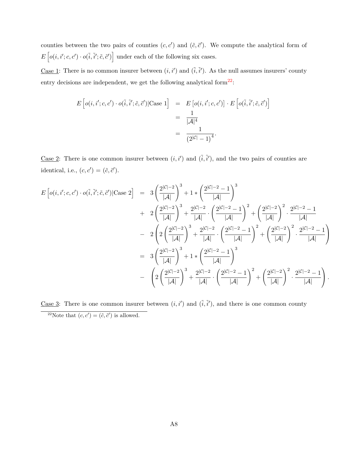counties between the two pairs of counties  $(c, c')$  and  $(\tilde{c}, \tilde{c}')$ . We compute the analytical form of  $E\left[ o(i, i'; c, c') \cdot o(\tilde{i}, \tilde{i}'; \tilde{c}, \tilde{c}') \right]$  under each of the following six cases.

Case 1: There is no common insurer between  $(i, i')$  and  $(\tilde{i}, \tilde{i}')$ . As the null assumes insurers' county entry decisions are independent, we get the following analytical form<sup>[22](#page-43-0)</sup>:

$$
E\left[o(i, i'; c, c') \cdot o(\tilde{i}, \tilde{i}'; \tilde{c}, \tilde{c}')|\text{Case 1}\right] = E\left[o(i, i'; c, c')\right] \cdot E\left[o(\tilde{i}, \tilde{i}'; \tilde{c}, \tilde{c}')\right]
$$

$$
= \frac{1}{|\mathcal{A}|^4}
$$

$$
= \frac{1}{(2^{|\mathcal{C}|} - 1)^4}.
$$

Case 2: There is one common insurer between  $(i, i')$  and  $(\tilde{i}, \tilde{i}')$ , and the two pairs of counties are identical, i.e.,  $(c, c') = (\tilde{c}, \tilde{c}')$ .

$$
E\left[o(i, i'; c, c') \cdot o(\tilde{i}, \tilde{i}'; \tilde{c}, \tilde{c}')|\text{Case 2}\right] = 3\left(\frac{2^{|C|-2}}{|A|}\right)^3 + 1*\left(\frac{2^{|C|-2}-1}{|A|}\right)^3 + 2^{|C|-2}\cdot\left(\frac{2^{|C|-2}-1}{|A|}\right)^2 + \left(\frac{2^{|C|-2}}{|A|}\right)^2 \cdot \frac{2^{|C|-2}-1}{|A|}
$$
  
\n
$$
- 2\left(2\left(\frac{2^{|C|-2}}{|A|}\right)^3 + \frac{2^{|C|-2}}{|A|} \cdot \left(\frac{2^{|C|-2}-1}{|A|}\right)^2 + \left(\frac{2^{|C|-2}}{|A|}\right)^2 \cdot \frac{2^{|C|-2}-1}{|A|}\right)
$$
  
\n
$$
= 3\left(\frac{2^{|C|-2}}{|A|}\right)^3 + 1*\left(\frac{2^{|C|-2}-1}{|A|}\right)^3
$$
  
\n
$$
- \left(2\left(\frac{2^{|C|-2}}{|A|}\right)^3 + \frac{2^{|C|-2}-1}{|A|} \cdot \left(\frac{2^{|C|-2}-1}{|A|}\right)^3 + \left(\frac{2^{|C|-2}-1}{|A|}\right)^2 \cdot \frac{2^{|C|-2}-1}{|A|}\right).
$$

<span id="page-43-0"></span>Case 3: There is one common insurer between  $(i, i')$  and  $(\tilde{i}, \tilde{i}')$ , and there is one common county <sup>22</sup>Note that  $(c, c') = (\tilde{c}, \tilde{c}')$  is allowed.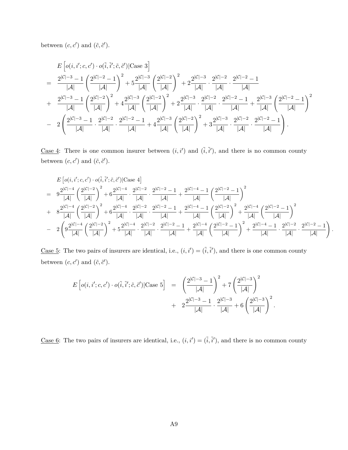between  $(c, c')$  and  $(\tilde{c}, \tilde{c}')$ .

$$
E\left[ o(i, i'; c, c') \cdot o(\tilde{i}, \tilde{i}'; \tilde{c}, \tilde{c}') | \text{Case 3} \right]
$$
\n
$$
= \frac{2^{|C|-3} - 1}{|\mathcal{A}|} \left( \frac{2^{|C|-2} - 1}{|\mathcal{A}|} \right)^2 + 5 \frac{2^{|C|-3}}{|\mathcal{A}|} \left( \frac{2^{|C|-2}}{|\mathcal{A}|} \right)^2 + 2 \frac{2^{|C|-3}}{|\mathcal{A}|} \cdot \frac{2^{|C|-2}}{|\mathcal{A}|} \cdot \frac{2^{|C|-2} - 1}{|\mathcal{A}|}
$$
\n
$$
+ \frac{2^{|C|-3} - 1}{|\mathcal{A}|} \left( \frac{2^{|C|-2}}{|\mathcal{A}|} \right)^2 + 4 \frac{2^{|C|-3}}{|\mathcal{A}|} \left( \frac{2^{|C|-2}}{|\mathcal{A}|} \right)^2 + 2 \frac{2^{|C|-3}}{|\mathcal{A}|} \cdot \frac{2^{|C|-2} - 1}{|\mathcal{A}|} \cdot \frac{2^{|C|-2} - 1}{|\mathcal{A}|} + \frac{2^{|C|-3}}{|\mathcal{A}|} \left( \frac{2^{|C|-2} - 1}{|\mathcal{A}|} \right)^2
$$
\n
$$
- 2 \left( \frac{2^{|C|-3} - 1}{|\mathcal{A}|} \cdot \frac{2^{|C|-2}}{|\mathcal{A}|} \cdot \frac{2^{|C|-2} - 1}{|\mathcal{A}|} + 4 \frac{2^{|C|-3}}{|\mathcal{A}|} \left( \frac{2^{|C|-2}}{|\mathcal{A}|} \right)^2 + 3 \frac{2^{|C|-3}}{|\mathcal{A}|} \cdot \frac{2^{|C|-2} - 1}{|\mathcal{A}|} \cdot \frac{2^{|C|-2} - 1}{|\mathcal{A}|} \right).
$$

Case 4: There is one common insurer between  $(i, i')$  and  $(\tilde{i}, \tilde{i}')$ , and there is no common county between  $(c, c')$  and  $(\tilde{c}, \tilde{c}')$ .

$$
\begin{array}{lll} & E\left[ o(i,i';c,c') \cdot o(\tilde{i},\tilde{i}';\tilde{c},\tilde{c}')|\text{Case 4}\right] \\ & = & 9\frac{2^{|{\cal C}|-4}}{|{\cal A}|}\left(\frac{2^{|{\cal C}|-2}}{|{\cal A}|}\right)^2 + 6\frac{2^{|{\cal C}|-4}}{|{\cal A}|}\cdot \frac{2^{|{\cal C}|-2}}{|{\cal A}|}\cdot \frac{2^{|{\cal C}|-2}-1}{|{\cal A}|} + \frac{2^{|{\cal C}|-4}-1}{|{\cal A}|}\left(\frac{2^{|{\cal C}|-2}-1}{|{\cal A}|}\right)^2 \\ & & + & 8\frac{2^{|{\cal C}|-4}}{|{\cal A}|}\left(\frac{2^{|{\cal C}|-2}}{|{\cal A}|}\right)^2 + 6\frac{2^{|{\cal C}|-4}}{|{\cal A}|}\cdot \frac{2^{|{\cal C}|-2}}{|{\cal A}|}\cdot \frac{2^{|{\cal C}|-2}-1}{|{\cal A}|} + \frac{2^{|{\cal C}|-4}-1}{|{\cal A}|}\left(\frac{2^{|{\cal C}|-2}}{|{\cal A}|}\right)^2 + \frac{2^{|{\cal C}|-4}}{|{\cal A}|}\left(\frac{2^{|{\cal C}|-2}-1}{|{\cal A}|}\right)^2 \\ & & - & 2\left(9\frac{2^{|{\cal C}|-4}}{|{\cal A}|}\left(\frac{2^{|{\cal C}|-2}}{|{\cal A}|}\right)^2 + 5\frac{2^{|{\cal C}|-4}}{|{\cal A}|}\cdot \frac{2^{|{\cal C}|-2}-1}{|{\cal A}|} \cdot \frac{2^{|{\cal C}|-2}-1}{|{\cal A}|} + \frac{2^{|{\cal C}|-4}}{|{\cal A}|}\left(\frac{2^{|{\cal C}|-2}-1}{|{\cal A}|}\right)^2 + \frac{2^{|{\cal C}|-4}-1}{|{\cal A}|}\cdot \frac{2^{|{\cal C}|-2}-1}{|{\cal A}|} \cdot \frac{2^{|{\cal C}|-2}-1}{|{\cal A}|} \end{array}\right).
$$

Case 5: The two pairs of insurers are identical, i.e.,  $(i, i') = (\tilde{i}, \tilde{i}')$ , and there is one common county between  $(c, c')$  and  $(\tilde{c}, \tilde{c}')$ .

$$
E\left[o(i, i'; c, c') \cdot o(\tilde{i}, \tilde{i}'; \tilde{c}, \tilde{c}') | \text{Case 5}\right] = \left(\frac{2^{|\mathcal{C}| - 3} - 1}{|\mathcal{A}|}\right)^2 + 7\left(\frac{2^{|\mathcal{C}| - 3}}{|\mathcal{A}|}\right)^2 + 2\frac{2^{|\mathcal{C}| - 3} - 1}{|\mathcal{A}|} \cdot \frac{2^{|\mathcal{C}| - 3}}{|\mathcal{A}|} + 6\left(\frac{2^{|\mathcal{C}| - 3}}{|\mathcal{A}|}\right)^2.
$$

Case 6: The two pairs of insurers are identical, i.e.,  $(i, i') = (\tilde{i}, \tilde{i}')$ , and there is no common county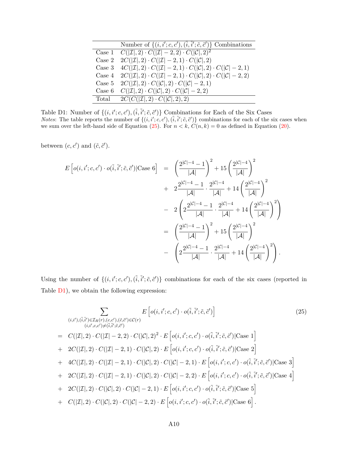<span id="page-45-1"></span>

| Number of $\{(i, i'; c, c'), (\tilde{i}, \tilde{i}'; \tilde{c}, \tilde{c}')\}$ Combinations                         |
|---------------------------------------------------------------------------------------------------------------------|
| Case 1 $C( \mathcal{I} , 2) \cdot C( \mathcal{I}  - 2, 2) \cdot C( \mathcal{C} , 2)^2$                              |
| Case 2 $2C( \mathcal{I} , 2) \cdot C( \mathcal{I}  - 2, 1) \cdot C( \mathcal{C} , 2)$                               |
| Case 3 $4C( \mathcal{I} , 2) \cdot C( \mathcal{I}  - 2, 1) \cdot C( \mathcal{C} , 2) \cdot C( \mathcal{C}  - 2, 1)$ |
| Case 4 $2C( \mathcal{I} ,2) \cdot C( \mathcal{I} -2,1) \cdot C( \mathcal{C} ,2) \cdot C( \mathcal{C} -2,2)$         |
| Case 5 $2C( \mathcal{I} , 2) \cdot C( \mathcal{C} , 2) \cdot C( \mathcal{C} -2, 1)$                                 |
| Case 6 $C( \mathcal{I} ,2) \cdot C( \mathcal{C} ,2) \cdot C( \mathcal{C} -2,2)$                                     |
| Total $2C(C( \mathcal{I} ,2) \cdot C( \mathcal{C} ,2),2)$                                                           |

Table D1: Number of  $\{(i, i'; c, c'), (\tilde{i}, \tilde{i}'; \tilde{c}, \tilde{c}')\}$  Combinations for Each of the Six Cases *Notes*: The table reports the number of  $\{(i, i'; c, c'), (\tilde{i}, \tilde{i}'; \tilde{c}, \tilde{c}')\}$  combinations for each of the six cases when we sum over the left-hand side of Equation [\(25\)](#page-45-0). For  $n < k$ ,  $C(n, k) = 0$  as defined in Equation [\(20\)](#page-40-1).

between  $(c, c')$  and  $(\tilde{c}, \tilde{c}')$ .

$$
E\left[o(i, i'; c, c') \cdot o(\tilde{i}, \tilde{i}'; \tilde{c}, \tilde{c}')|\text{Case 6}\right] = \left(\frac{2^{|C|-4}-1}{|\mathcal{A}|}\right)^2 + 15\left(\frac{2^{|C|-4}}{|\mathcal{A}|}\right)^2 + 2\frac{2^{|C|-4}-1}{|\mathcal{A}|} \cdot \frac{2^{|C|-4}}{|\mathcal{A}|} + 14\left(\frac{2^{|C|-4}}{|\mathcal{A}|}\right)^2 - 2\left(2\frac{2^{|C|-4}-1}{|\mathcal{A}|} \cdot \frac{2^{|C|-4}}{|\mathcal{A}|} + 14\left(\frac{2^{|C|-4}}{|\mathcal{A}|}\right)^2\right) - \left(\frac{2^{|C|-4}-1}{|\mathcal{A}|}\right)^2 + 15\left(\frac{2^{|C|-4}}{|\mathcal{A}|}\right)^2 - \left(2\frac{2^{|C|-4}-1}{|\mathcal{A}|} \cdot \frac{2^{|C|-4}}{|\mathcal{A}|} + 14\left(\frac{2^{|C|-4}}{|\mathcal{A}|}\right)^2\right).
$$

Using the number of  $\{(i, i'; c, c'), (\tilde{i}, \tilde{i}'; \tilde{c}, \tilde{c}')\}$  combinations for each of the six cases (reported in Table [D1\)](#page-45-1), we obtain the following expression:

<span id="page-45-0"></span>
$$
\sum_{(i,i'),(i,\tilde{i},i')\in\mathcal{I}_R(r),(c,c'),(\tilde{c},\tilde{c}')\in\mathcal{C}(r)} E\left[o(i,i';c,c')\cdot o(\tilde{i},\tilde{i}';\tilde{c},\tilde{c}')\right] \tag{25}
$$
\n
$$
= C(|\mathcal{I}|,2)\cdot C(|\mathcal{I}|-2,2)\cdot C(|\mathcal{C}|,2)^2\cdot E\left[o(i,i';c,c')\cdot o(\tilde{i},\tilde{i}';\tilde{c},\tilde{c}')|\text{Case 1}\right]
$$
\n
$$
+ 2C(|\mathcal{I}|,2)\cdot C(|\mathcal{I}|-2,1)\cdot C(|\mathcal{C}|,2)\cdot E\left[o(i,i';c,c')\cdot o(\tilde{i},\tilde{i}';\tilde{c},\tilde{c}')|\text{Case 2}\right]
$$
\n
$$
+ 4C(|\mathcal{I}|,2)\cdot C(|\mathcal{I}|-2,1)\cdot C(|\mathcal{C}|,2)\cdot C(|\mathcal{C}|-2,1)\cdot E\left[o(i,i';c,c')\cdot o(\tilde{i},\tilde{i}';\tilde{c},\tilde{c}')|\text{Case 3}\right]
$$
\n
$$
+ 2C(|\mathcal{I}|,2)\cdot C(|\mathcal{I}|-2,1)\cdot C(|\mathcal{C}|,2)\cdot C(|\mathcal{C}|-2,2)\cdot E\left[o(i,i';c,c')\cdot o(\tilde{i},\tilde{i}';\tilde{c},\tilde{c}')|\text{Case 4}\right]
$$
\n
$$
+ 2C(|\mathcal{I}|,2)\cdot C(|\mathcal{C}|,2)\cdot C(|\mathcal{C}|-2,1)\cdot E\left[o(i,i';c,c')\cdot o(\tilde{i},\tilde{i}';\tilde{c},\tilde{c}')|\text{Case 5}\right]
$$
\n
$$
+ C(|\mathcal{I}|,2)\cdot C(|\mathcal{C}|,2)\cdot C(|\mathcal{C}|-2,2)\cdot E\left[o(i,i';c,c')\cdot o(\tilde{i},\tilde{i}';\tilde{c},\tilde{c}')|\text{Case 6}\right].
$$
\n(25)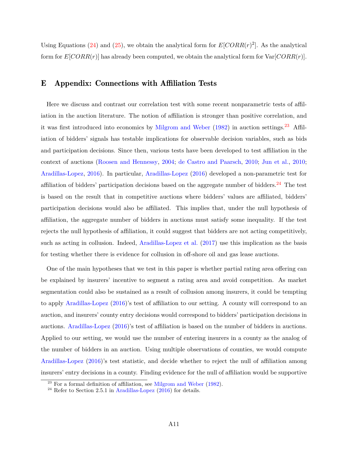Using Equations [\(24\)](#page-42-0) and [\(25\)](#page-45-0), we obtain the analytical form for  $E[CORR(r)<sup>2</sup>]$ . As the analytical form for  $E[CORR(r)]$  has already been computed, we obtain the analytical form for  $Var[CORR(r)]$ .

# <span id="page-46-0"></span>E Appendix: Connections with Affiliation Tests

Here we discuss and contrast our correlation test with some recent nonparametric tests of affiliation in the auction literature. The notion of affiliation is stronger than positive correlation, and it was first introduced into economics by [Milgrom and Weber](#page-34-11)  $(1982)$  in auction settings.<sup>[23](#page-46-1)</sup> Affiliation of bidders' signals has testable implications for observable decision variables, such as bids and participation decisions. Since then, various tests have been developed to test affiliation in the context of auctions [\(Roosen and Hennessy,](#page-35-0) [2004;](#page-35-0) [de Castro and Paarsch,](#page-34-12) [2010;](#page-34-12) [Jun et al.,](#page-34-13) [2010;](#page-34-13) [Aradillas-Lopez,](#page-33-2) [2016\)](#page-33-2). In particular, [Aradillas-Lopez](#page-33-2) [\(2016\)](#page-33-2) developed a non-parametric test for affiliation of bidders' participation decisions based on the aggregate number of bidders.<sup>[24](#page-46-2)</sup> The test is based on the result that in competitive auctions where bidders' values are affiliated, bidders' participation decisions would also be affiliated. This implies that, under the null hypothesis of affiliation, the aggregate number of bidders in auctions must satisfy some inequality. If the test rejects the null hypothesis of affiliation, it could suggest that bidders are not acting competitively, such as acting in collusion. Indeed, [Aradillas-Lopez et al.](#page-34-14) [\(2017\)](#page-34-14) use this implication as the basis for testing whether there is evidence for collusion in off-shore oil and gas lease auctions.

One of the main hypotheses that we test in this paper is whether partial rating area offering can be explained by insurers' incentive to segment a rating area and avoid competition. As market segmentation could also be sustained as a result of collusion among insurers, it could be tempting to apply [Aradillas-Lopez](#page-33-2) [\(2016\)](#page-33-2)'s test of affiliation to our setting. A county will correspond to an auction, and insurers' county entry decisions would correspond to bidders' participation decisions in auctions. [Aradillas-Lopez](#page-33-2) [\(2016\)](#page-33-2)'s test of affiliation is based on the number of bidders in auctions. Applied to our setting, we would use the number of entering insurers in a county as the analog of the number of bidders in an auction. Using multiple observations of counties, we would compute [Aradillas-Lopez](#page-33-2) [\(2016\)](#page-33-2)'s test statistic, and decide whether to reject the null of affiliation among insurers' entry decisions in a county. Finding evidence for the null of affiliation would be supportive

<span id="page-46-1"></span> $23$  For a formal definition of affiliation, see [Milgrom and Weber](#page-34-11) [\(1982\)](#page-34-11).

<span id="page-46-2"></span><sup>&</sup>lt;sup>24</sup> Refer to Section 2.5.1 in [Aradillas-Lopez](#page-33-2)  $(2016)$  for details.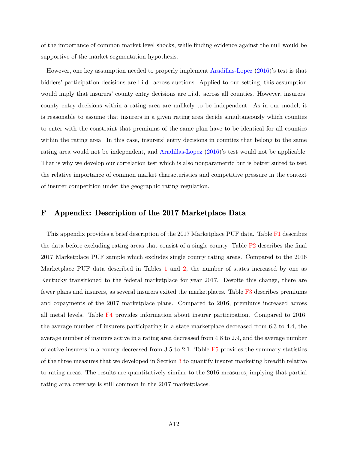of the importance of common market level shocks, while finding evidence against the null would be supportive of the market segmentation hypothesis.

However, one key assumption needed to properly implement [Aradillas-Lopez](#page-33-2) [\(2016\)](#page-33-2)'s test is that bidders' participation decisions are i.i.d. across auctions. Applied to our setting, this assumption would imply that insurers' county entry decisions are i.i.d. across all counties. However, insurers' county entry decisions within a rating area are unlikely to be independent. As in our model, it is reasonable to assume that insurers in a given rating area decide simultaneously which counties to enter with the constraint that premiums of the same plan have to be identical for all counties within the rating area. In this case, insurers' entry decisions in counties that belong to the same rating area would not be independent, and [Aradillas-Lopez](#page-33-2) [\(2016\)](#page-33-2)'s test would not be applicable. That is why we develop our correlation test which is also nonparametric but is better suited to test the relative importance of common market characteristics and competitive pressure in the context of insurer competition under the geographic rating regulation.

# <span id="page-47-0"></span>F Appendix: Description of the 2017 Marketplace Data

This appendix provides a brief description of the 2017 Marketplace PUF data. Table [F1](#page-48-0) describes the data before excluding rating areas that consist of a single county. Table  $F2$  describes the final 2017 Marketplace PUF sample which excludes single county rating areas. Compared to the 2016 Marketplace PUF data described in Tables [1](#page-7-0) and [2,](#page-7-1) the number of states increased by one as Kentucky transitioned to the federal marketplace for year 2017. Despite this change, there are fewer plans and insurers, as several insurers exited the marketplaces. Table [F3](#page-48-2) describes premiums and copayments of the 2017 marketplace plans. Compared to 2016, premiums increased across all metal levels. Table  $F4$  provides information about insurer participation. Compared to 2016, the average number of insurers participating in a state marketplace decreased from 6.3 to 4.4, the average number of insurers active in a rating area decreased from 4.8 to 2.9, and the average number of active insurers in a county decreased from 3.5 to 2.1. Table [F5](#page-48-4) provides the summary statistics of the three measures that we developed in Section [3](#page-9-0) to quantify insurer marketing breadth relative to rating areas. The results are quantitatively similar to the 2016 measures, implying that partial rating area coverage is still common in the 2017 marketplaces.